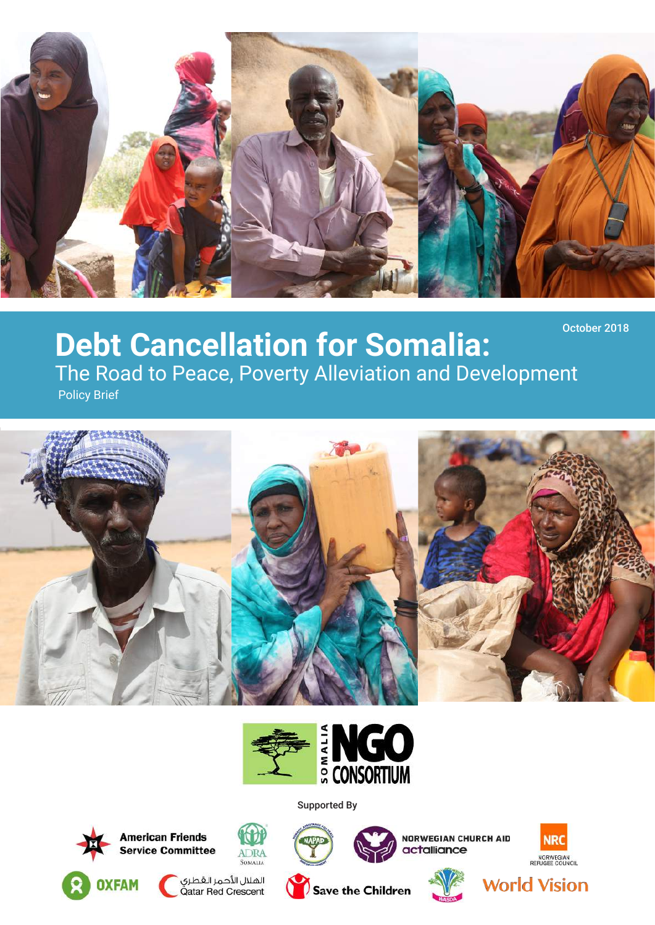

### **Debt Cancellation for Somalia:**  The Road to Peace, Poverty Alleviation and Development Policy Brief October 2018





Supported By



**Service Committee** 









**World Vision** 

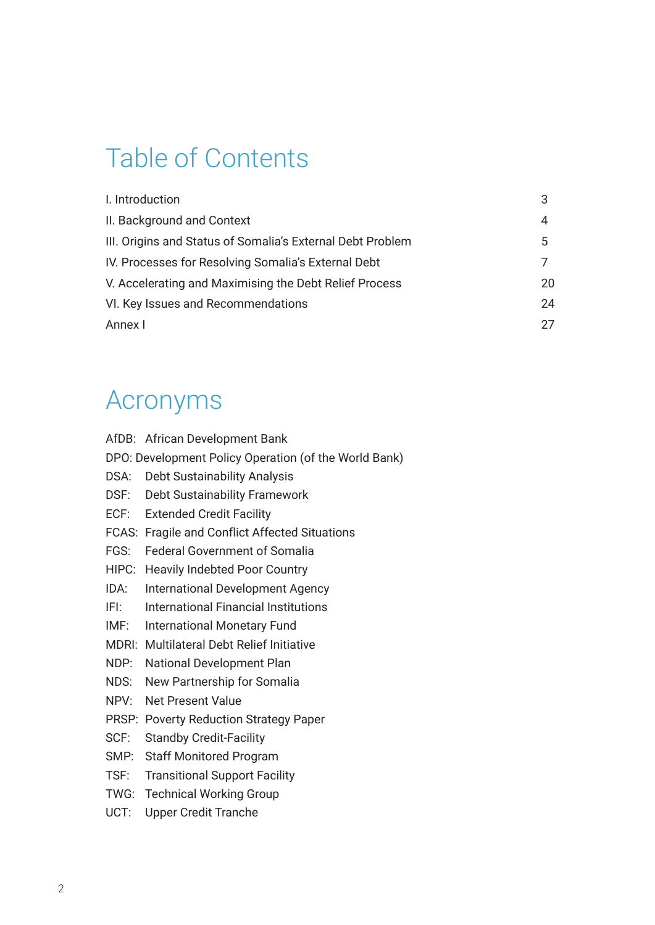# Table of Contents

| I. Introduction                                            |    |
|------------------------------------------------------------|----|
| II. Background and Context                                 | 4  |
| III. Origins and Status of Somalia's External Debt Problem | 5  |
| IV. Processes for Resolving Somalia's External Debt        |    |
| V. Accelerating and Maximising the Debt Relief Process     | 20 |
| VI. Key Issues and Recommendations                         | 24 |
| Annex I                                                    | 27 |

# Acronyms

|                                                       | AfDB: African Development Bank                  |  |  |
|-------------------------------------------------------|-------------------------------------------------|--|--|
| DPO: Development Policy Operation (of the World Bank) |                                                 |  |  |
| DSA:                                                  | <b>Debt Sustainability Analysis</b>             |  |  |
| DSF:                                                  | <b>Debt Sustainability Framework</b>            |  |  |
| ECF:                                                  | <b>Extended Credit Facility</b>                 |  |  |
| FCAS:                                                 | <b>Fragile and Conflict Affected Situations</b> |  |  |
| FGS:                                                  | <b>Federal Government of Somalia</b>            |  |  |
| HIPC:                                                 | <b>Heavily Indebted Poor Country</b>            |  |  |
| IDA:                                                  | <b>International Development Agency</b>         |  |  |
| IFI:                                                  | <b>International Financial Institutions</b>     |  |  |
| IMF:                                                  | <b>International Monetary Fund</b>              |  |  |
| MDRI:                                                 | <b>Multilateral Debt Relief Initiative</b>      |  |  |
| NDP:                                                  | <b>National Development Plan</b>                |  |  |
| NDS:                                                  | New Partnership for Somalia                     |  |  |
| NPV:                                                  | <b>Net Present Value</b>                        |  |  |
|                                                       | PRSP: Poverty Reduction Strategy Paper          |  |  |
| SCF:                                                  | <b>Standby Credit-Facility</b>                  |  |  |
| SMP:                                                  | <b>Staff Monitored Program</b>                  |  |  |
| TSF:                                                  | <b>Transitional Support Facility</b>            |  |  |
| TWG:                                                  | <b>Technical Working Group</b>                  |  |  |
| UCT:                                                  | <b>Upper Credit Tranche</b>                     |  |  |
|                                                       |                                                 |  |  |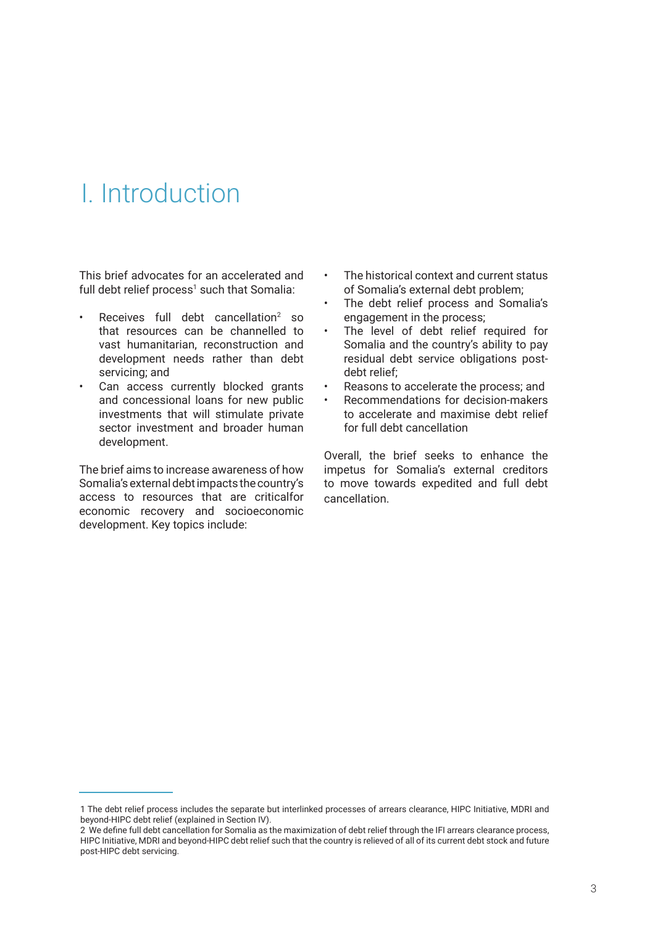## I. Introduction

This brief advocates for an accelerated and full debt relief process<sup>1</sup> such that Somalia:

- Receives full debt cancellation<sup>2</sup> so that resources can be channelled to vast humanitarian, reconstruction and development needs rather than debt servicing; and
- Can access currently blocked grants and concessional loans for new public investments that will stimulate private sector investment and broader human development.

The brief aims to increase awareness of how Somalia's external debt impacts the country's access to resources that are criticalfor economic recovery and socioeconomic development. Key topics include:

- The historical context and current status of Somalia's external debt problem;
- The debt relief process and Somalia's engagement in the process;
- The level of debt relief required for Somalia and the country's ability to pay residual debt service obligations postdebt relief;
- Reasons to accelerate the process; and
- Recommendations for decision-makers to accelerate and maximise debt relief for full debt cancellation

Overall, the brief seeks to enhance the impetus for Somalia's external creditors to move towards expedited and full debt cancellation.

<sup>1</sup> The debt relief process includes the separate but interlinked processes of arrears clearance, HIPC Initiative, MDRI and beyond-HIPC debt relief (explained in Section IV).

<sup>2</sup> We define full debt cancellation for Somalia as the maximization of debt relief through the IFI arrears clearance process, HIPC Initiative, MDRI and beyond-HIPC debt relief such that the country is relieved of all of its current debt stock and future post-HIPC debt servicing.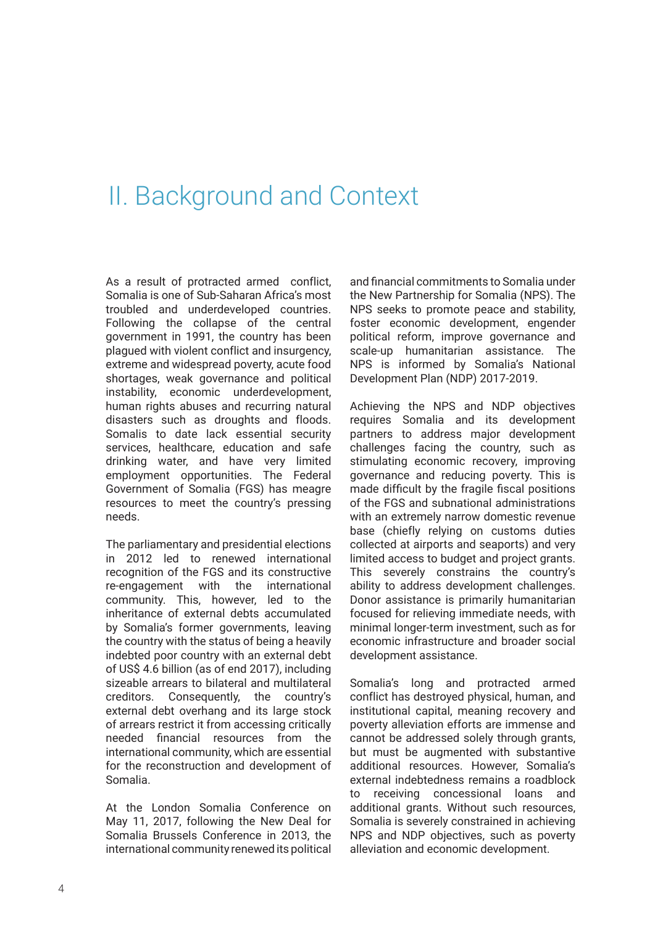### II. Background and Context

As a result of protracted armed conflict, Somalia is one of Sub-Saharan Africa's most troubled and underdeveloped countries. Following the collapse of the central government in 1991, the country has been plagued with violent conflict and insurgency, extreme and widespread poverty, acute food shortages, weak governance and political instability, economic underdevelopment, human rights abuses and recurring natural disasters such as droughts and floods. Somalis to date lack essential security services, healthcare, education and safe drinking water, and have very limited employment opportunities. The Federal Government of Somalia (FGS) has meagre resources to meet the country's pressing needs.

The parliamentary and presidential elections in 2012 led to renewed international recognition of the FGS and its constructive re-engagement with the international community. This, however, led to the inheritance of external debts accumulated by Somalia's former governments, leaving the country with the status of being a heavily indebted poor country with an external debt of US\$ 4.6 billion (as of end 2017), including sizeable arrears to bilateral and multilateral creditors. Consequently, the country's external debt overhang and its large stock of arrears restrict it from accessing critically needed financial resources from the international community, which are essential for the reconstruction and development of Somalia.

At the London Somalia Conference on May 11, 2017, following the New Deal for Somalia Brussels Conference in 2013, the international community renewed its political

and financial commitments to Somalia under the New Partnership for Somalia (NPS). The NPS seeks to promote peace and stability, foster economic development, engender political reform, improve governance and scale-up humanitarian assistance. The NPS is informed by Somalia's National Development Plan (NDP) 2017-2019.

Achieving the NPS and NDP objectives requires Somalia and its development partners to address major development challenges facing the country, such as stimulating economic recovery, improving governance and reducing poverty. This is made difficult by the fragile fiscal positions of the FGS and subnational administrations with an extremely narrow domestic revenue base (chiefly relying on customs duties collected at airports and seaports) and very limited access to budget and project grants. This severely constrains the country's ability to address development challenges. Donor assistance is primarily humanitarian focused for relieving immediate needs, with minimal longer-term investment, such as for economic infrastructure and broader social development assistance.

Somalia's long and protracted armed conflict has destroyed physical, human, and institutional capital, meaning recovery and poverty alleviation efforts are immense and cannot be addressed solely through grants, but must be augmented with substantive additional resources. However, Somalia's external indebtedness remains a roadblock to receiving concessional loans and additional grants. Without such resources, Somalia is severely constrained in achieving NPS and NDP objectives, such as poverty alleviation and economic development.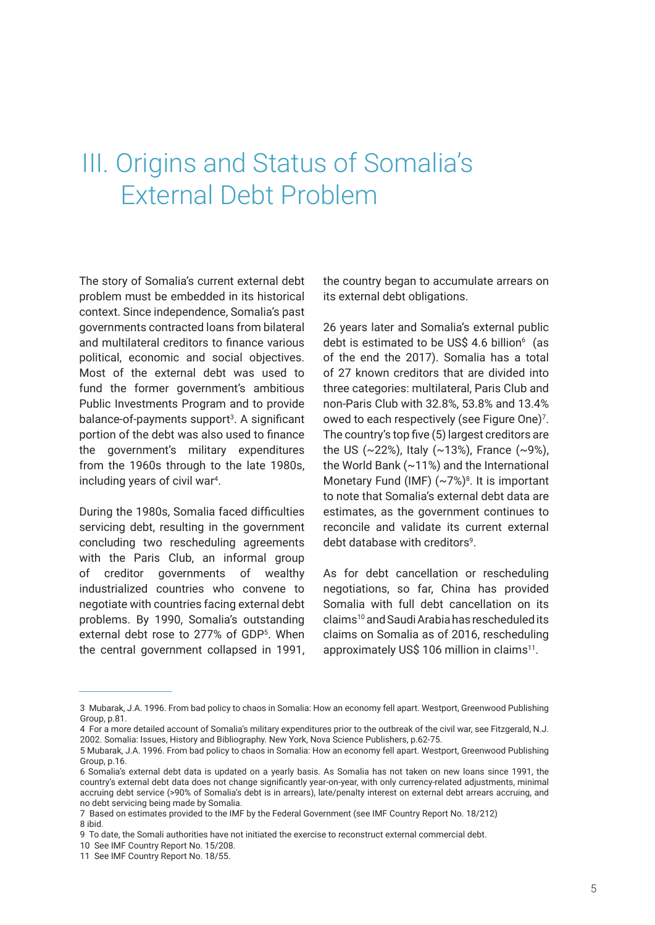### III. Origins and Status of Somalia's External Debt Problem

The story of Somalia's current external debt problem must be embedded in its historical context. Since independence, Somalia's past governments contracted loans from bilateral and multilateral creditors to finance various political, economic and social objectives. Most of the external debt was used to fund the former government's ambitious Public Investments Program and to provide balance-of-payments support<sup>3</sup>. A significant portion of the debt was also used to finance the government's military expenditures from the 1960s through to the late 1980s, including years of civil war<sup>4</sup>.

During the 1980s, Somalia faced difficulties servicing debt, resulting in the government concluding two rescheduling agreements with the Paris Club, an informal group of creditor governments of wealthy industrialized countries who convene to negotiate with countries facing external debt problems. By 1990, Somalia's outstanding external debt rose to 277% of GDP<sup>5</sup>. When the central government collapsed in 1991,

the country began to accumulate arrears on its external debt obligations.

26 years later and Somalia's external public debt is estimated to be US\$ 4.6 billion $6 \text{ (as)}$ of the end the 2017). Somalia has a total of 27 known creditors that are divided into three categories: multilateral, Paris Club and non-Paris Club with 32.8%, 53.8% and 13.4% owed to each respectively (see Figure One)7 . The country's top five (5) largest creditors are the US (~22%), Italy (~13%), France (~9%), the World Bank (~11%) and the International Monetary Fund (IMF)  $({\sim}7\%)^8$ . It is important to note that Somalia's external debt data are estimates, as the government continues to reconcile and validate its current external debt database with creditors<sup>9</sup>.

As for debt cancellation or rescheduling negotiations, so far, China has provided Somalia with full debt cancellation on its claims10 and Saudi Arabia has rescheduled its claims on Somalia as of 2016, rescheduling approximately US\$ 106 million in claims<sup>11</sup>.

<sup>3</sup> Mubarak, J.A. 1996. From bad policy to chaos in Somalia: How an economy fell apart. Westport, Greenwood Publishing Group, p.81.

<sup>4</sup> For a more detailed account of Somalia's military expenditures prior to the outbreak of the civil war, see Fitzgerald, N.J. 2002. Somalia: Issues, History and Bibliography. New York, Nova Science Publishers, p.62-75.

<sup>5</sup> Mubarak, J.A. 1996. From bad policy to chaos in Somalia: How an economy fell apart. Westport, Greenwood Publishing Group, p.16.

<sup>6</sup> Somalia's external debt data is updated on a yearly basis. As Somalia has not taken on new loans since 1991, the country's external debt data does not change significantly year-on-year, with only currency-related adjustments, minimal accruing debt service (>90% of Somalia's debt is in arrears), late/penalty interest on external debt arrears accruing, and no debt servicing being made by Somalia.

<sup>7</sup> Based on estimates provided to the IMF by the Federal Government (see IMF Country Report No. 18/212) 8 ibid.

<sup>9</sup> To date, the Somali authorities have not initiated the exercise to reconstruct external commercial debt.

<sup>10</sup> See IMF Country Report No. 15/208.

<sup>11</sup> See IMF Country Report No. 18/55.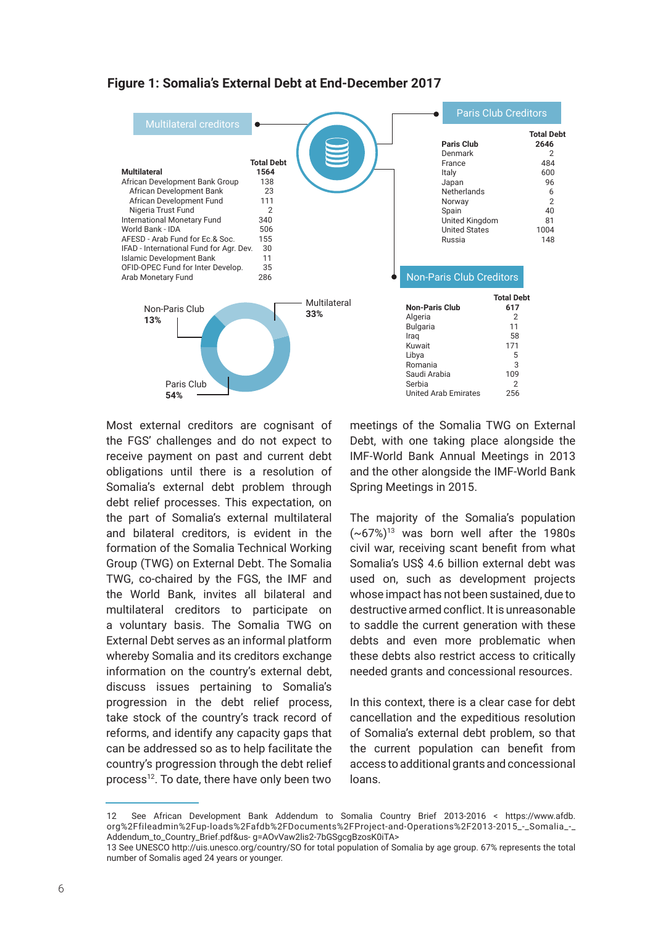



Most external creditors are cognisant of the FGS' challenges and do not expect to receive payment on past and current debt obligations until there is a resolution of Somalia's external debt problem through debt relief processes. This expectation, on the part of Somalia's external multilateral and bilateral creditors, is evident in the formation of the Somalia Technical Working Group (TWG) on External Debt. The Somalia TWG, co-chaired by the FGS, the IMF and the World Bank, invites all bilateral and multilateral creditors to participate on a voluntary basis. The Somalia TWG on External Debt serves as an informal platform whereby Somalia and its creditors exchange information on the country's external debt, discuss issues pertaining to Somalia's progression in the debt relief process, take stock of the country's track record of reforms, and identify any capacity gaps that can be addressed so as to help facilitate the country's progression through the debt relief process<sup>12</sup>. To date, there have only been two

meetings of the Somalia TWG on External Debt, with one taking place alongside the IMF-World Bank Annual Meetings in 2013 and the other alongside the IMF-World Bank Spring Meetings in 2015.

The majority of the Somalia's population  $(-67%)^{13}$  was born well after the 1980s civil war, receiving scant benefit from what Somalia's US\$ 4.6 billion external debt was used on, such as development projects whose impact has not been sustained, due to destructive armed conflict. It is unreasonable to saddle the current generation with these debts and even more problematic when these debts also restrict access to critically needed grants and concessional resources.

In this context, there is a clear case for debt cancellation and the expeditious resolution of Somalia's external debt problem, so that the current population can benefit from access to additional grants and concessional loans.

<sup>12</sup> See African Development Bank Addendum to Somalia Country Brief 2013-2016 < https://www.afdb. org%2Ffileadmin%2Fup-loads%2Fafdb%2FDocuments%2FProject-and-Operations%2F2013-2015 - Somalia -Addendum\_to\_Country\_Brief.pdf&us- g=AOvVaw2lis2-7bGSgcgBzosK0iTA>

<sup>13</sup> See UNESCO http://uis.unesco.org/country/SO for total population of Somalia by age group. 67% represents the total number of Somalis aged 24 years or younger.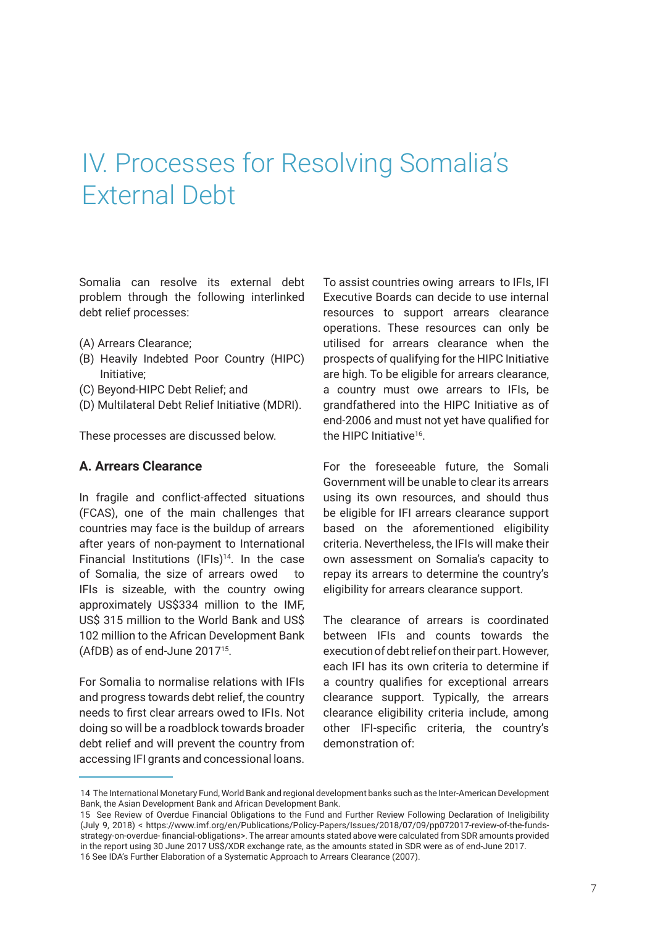## IV. Processes for Resolving Somalia's External Debt

Somalia can resolve its external debt problem through the following interlinked debt relief processes:

- (A) Arrears Clearance;
- (B) Heavily Indebted Poor Country (HIPC) Initiative;
- (C) Beyond-HIPC Debt Relief; and
- (D) Multilateral Debt Relief Initiative (MDRI).

These processes are discussed below.

#### **A. Arrears Clearance**

In fragile and conflict-affected situations (FCAS), one of the main challenges that countries may face is the buildup of arrears after years of non-payment to International Financial Institutions (IFIs)<sup>14</sup>. In the case of Somalia, the size of arrears owed to IFIs is sizeable, with the country owing approximately US\$334 million to the IMF, US\$ 315 million to the World Bank and US\$ 102 million to the African Development Bank (AfDB) as of end-June 201715.

For Somalia to normalise relations with IFIs and progress towards debt relief, the country needs to first clear arrears owed to IFIs. Not doing so will be a roadblock towards broader debt relief and will prevent the country from accessing IFI grants and concessional loans.

To assist countries owing arrears to IFIs, IFI Executive Boards can decide to use internal resources to support arrears clearance operations. These resources can only be utilised for arrears clearance when the prospects of qualifying for the HIPC Initiative are high. To be eligible for arrears clearance, a country must owe arrears to IFIs, be grandfathered into the HIPC Initiative as of end-2006 and must not yet have qualified for the HIPC Initiative<sup>16</sup>

For the foreseeable future, the Somali Government will be unable to clear its arrears using its own resources, and should thus be eligible for IFI arrears clearance support based on the aforementioned eligibility criteria. Nevertheless, the IFIs will make their own assessment on Somalia's capacity to repay its arrears to determine the country's eligibility for arrears clearance support.

The clearance of arrears is coordinated between IFIs and counts towards the execution of debt relief on their part. However, each IFI has its own criteria to determine if a country qualifies for exceptional arrears clearance support. Typically, the arrears clearance eligibility criteria include, among other IFI-specific criteria, the country's demonstration of:

<sup>14</sup> The International Monetary Fund, World Bank and regional development banks such as the Inter-American Development Bank, the Asian Development Bank and African Development Bank.

<sup>15</sup> See Review of Overdue Financial Obligations to the Fund and Further Review Following Declaration of Ineligibility (July 9, 2018) < https://www.imf.org/en/Publications/Policy-Papers/Issues/2018/07/09/pp072017-review-of-the-fundsstrategy-on-overdue- financial-obligations>. The arrear amounts stated above were calculated from SDR amounts provided in the report using 30 June 2017 US\$/XDR exchange rate, as the amounts stated in SDR were as of end-June 2017. 16 See IDA's Further Elaboration of a Systematic Approach to Arrears Clearance (2007).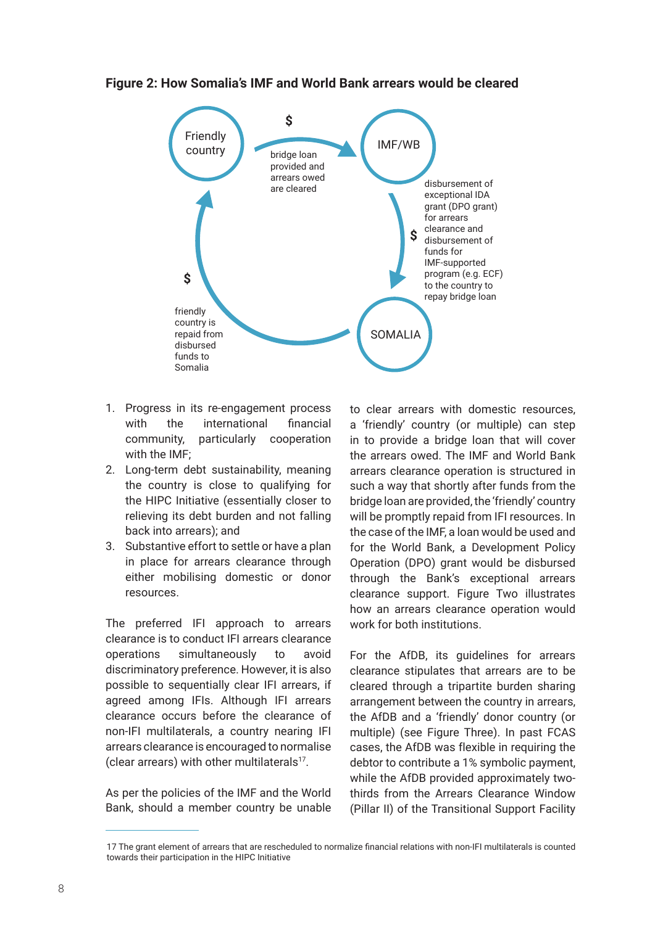#### **Figure 2: How Somalia's IMF and World Bank arrears would be cleared**



- 1. Progress in its re-engagement process with the international financial community, particularly cooperation with the IMF;
- 2. Long-term debt sustainability, meaning the country is close to qualifying for the HIPC Initiative (essentially closer to relieving its debt burden and not falling back into arrears); and
- 3. Substantive effort to settle or have a plan in place for arrears clearance through either mobilising domestic or donor resources.

The preferred IFI approach to arrears clearance is to conduct IFI arrears clearance operations simultaneously to avoid discriminatory preference. However, it is also possible to sequentially clear IFI arrears, if agreed among IFIs. Although IFI arrears clearance occurs before the clearance of non-IFI multilaterals, a country nearing IFI arrears clearance is encouraged to normalise (clear arrears) with other multilaterals<sup>17</sup>.

As per the policies of the IMF and the World Bank, should a member country be unable

to clear arrears with domestic resources, a 'friendly' country (or multiple) can step in to provide a bridge loan that will cover the arrears owed. The IMF and World Bank arrears clearance operation is structured in such a way that shortly after funds from the bridge loan are provided, the 'friendly' country will be promptly repaid from IFI resources. In the case of the IMF, a loan would be used and for the World Bank, a Development Policy Operation (DPO) grant would be disbursed through the Bank's exceptional arrears clearance support. Figure Two illustrates how an arrears clearance operation would work for both institutions.

For the AfDB, its guidelines for arrears clearance stipulates that arrears are to be cleared through a tripartite burden sharing arrangement between the country in arrears, the AfDB and a 'friendly' donor country (or multiple) (see Figure Three). In past FCAS cases, the AfDB was flexible in requiring the debtor to contribute a 1% symbolic payment, while the AfDB provided approximately twothirds from the Arrears Clearance Window (Pillar II) of the Transitional Support Facility

<sup>17</sup> The grant element of arrears that are rescheduled to normalize financial relations with non-IFI multilaterals is counted towards their participation in the HIPC Initiative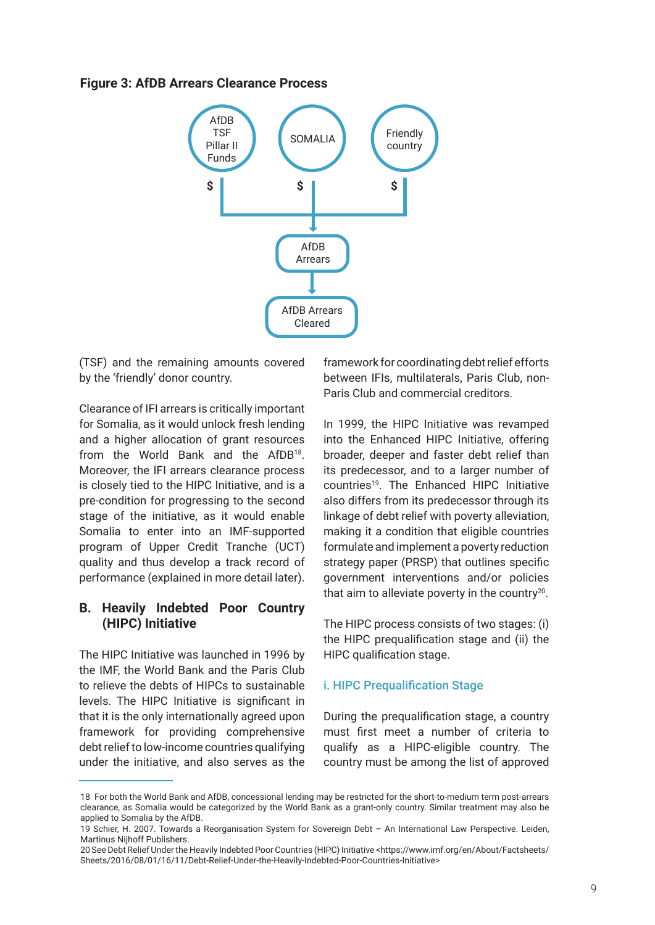#### **Figure 3: AfDB Arrears Clearance Process**



(TSF) and the remaining amounts covered by the 'friendly' donor country.

Clearance of IFI arrears is critically important for Somalia, as it would unlock fresh lending and a higher allocation of grant resources from the World Bank and the AfDB18. Moreover, the IFI arrears clearance process is closely tied to the HIPC Initiative, and is a pre-condition for progressing to the second stage of the initiative, as it would enable Somalia to enter into an IMF-supported program of Upper Credit Tranche (UCT) quality and thus develop a track record of performance (explained in more detail later).

#### **B. Heavily Indebted Poor Country (HIPC) Initiative**

The HIPC Initiative was launched in 1996 by the IMF, the World Bank and the Paris Club to relieve the debts of HIPCs to sustainable levels. The HIPC Initiative is significant in that it is the only internationally agreed upon framework for providing comprehensive debt relief to low-income countries qualifying under the initiative, and also serves as the

framework for coordinating debt relief efforts between IFIs, multilaterals, Paris Club, non-Paris Club and commercial creditors.

In 1999, the HIPC Initiative was revamped into the Enhanced HIPC Initiative, offering broader, deeper and faster debt relief than its predecessor, and to a larger number of countries19. The Enhanced HIPC Initiative also differs from its predecessor through its linkage of debt relief with poverty alleviation, making it a condition that eligible countries formulate and implement a poverty reduction strategy paper (PRSP) that outlines specific government interventions and/or policies that aim to alleviate poverty in the country<sup>20</sup>.

The HIPC process consists of two stages: (i) the HIPC prequalification stage and (ii) the HIPC qualification stage.

#### i. HIPC Prequalification Stage

During the prequalification stage, a country must first meet a number of criteria to qualify as a HIPC-eligible country. The country must be among the list of approved

<sup>18</sup> For both the World Bank and AfDB, concessional lending may be restricted for the short-to-medium term post-arrears clearance, as Somalia would be categorized by the World Bank as a grant-only country. Similar treatment may also be applied to Somalia by the AfDB.

<sup>19</sup> Schier, H. 2007. Towards a Reorganisation System for Sovereign Debt – An International Law Perspective. Leiden, Martinus Nijhoff Publishers.

<sup>20</sup> See Debt Relief Under the Heavily Indebted Poor Countries (HIPC) Initiative <https://www.imf.org/en/About/Factsheets/ Sheets/2016/08/01/16/11/Debt-Relief-Under-the-Heavily-Indebted-Poor-Countries-Initiative>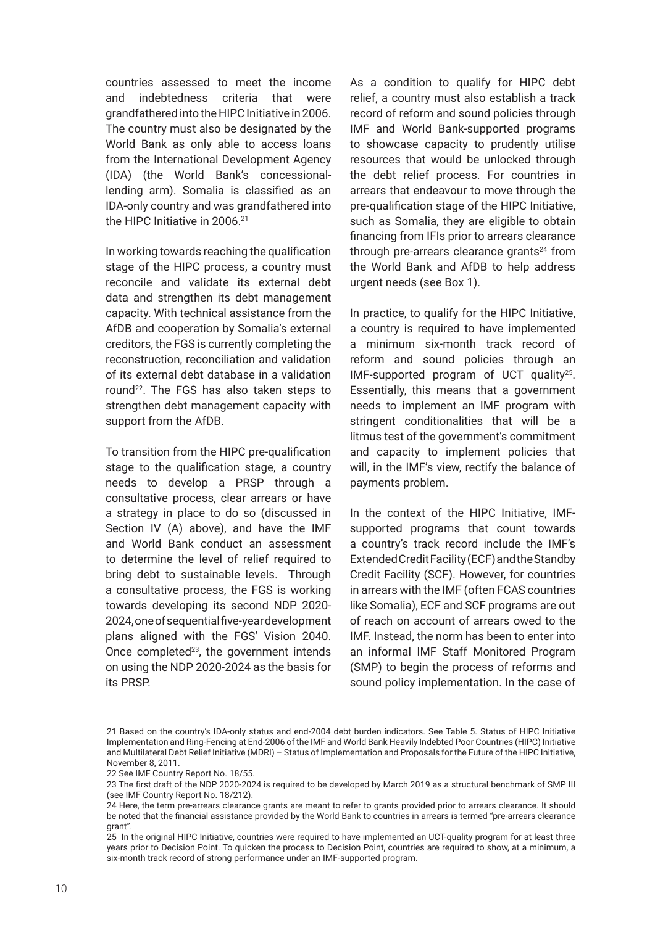countries assessed to meet the income and indebtedness criteria that were grandfathered into the HIPC Initiative in 2006. The country must also be designated by the World Bank as only able to access loans from the International Development Agency (IDA) (the World Bank's concessionallending arm). Somalia is classified as an IDA-only country and was grandfathered into the HIPC Initiative in 2006.<sup>21</sup>

In working towards reaching the qualification stage of the HIPC process, a country must reconcile and validate its external debt data and strengthen its debt management capacity. With technical assistance from the AfDB and cooperation by Somalia's external creditors, the FGS is currently completing the reconstruction, reconciliation and validation of its external debt database in a validation round<sup>22</sup>. The FGS has also taken steps to strengthen debt management capacity with support from the AfDB.

To transition from the HIPC pre-qualification stage to the qualification stage, a country needs to develop a PRSP through a consultative process, clear arrears or have a strategy in place to do so (discussed in Section IV (A) above), and have the IMF and World Bank conduct an assessment to determine the level of relief required to bring debt to sustainable levels. Through a consultative process, the FGS is working towards developing its second NDP 2020- 2024, one of sequential five-year development plans aligned with the FGS' Vision 2040. Once completed<sup>23</sup>, the government intends on using the NDP 2020-2024 as the basis for its PRSP.

As a condition to qualify for HIPC debt relief, a country must also establish a track record of reform and sound policies through IMF and World Bank-supported programs to showcase capacity to prudently utilise resources that would be unlocked through the debt relief process. For countries in arrears that endeavour to move through the pre-qualification stage of the HIPC Initiative, such as Somalia, they are eligible to obtain financing from IFIs prior to arrears clearance through pre-arrears clearance grants $24$  from the World Bank and AfDB to help address urgent needs (see Box 1).

In practice, to qualify for the HIPC Initiative, a country is required to have implemented a minimum six-month track record of reform and sound policies through an IMF-supported program of UCT quality25. Essentially, this means that a government needs to implement an IMF program with stringent conditionalities that will be a litmus test of the government's commitment and capacity to implement policies that will, in the IMF's view, rectify the balance of payments problem.

In the context of the HIPC Initiative, IMFsupported programs that count towards a country's track record include the IMF's Extended Credit Facility (ECF) and the Standby Credit Facility (SCF). However, for countries in arrears with the IMF (often FCAS countries like Somalia), ECF and SCF programs are out of reach on account of arrears owed to the IMF. Instead, the norm has been to enter into an informal IMF Staff Monitored Program (SMP) to begin the process of reforms and sound policy implementation. In the case of

<sup>21</sup> Based on the country's IDA-only status and end-2004 debt burden indicators. See Table 5. Status of HIPC Initiative Implementation and Ring-Fencing at End-2006 of the IMF and World Bank Heavily Indebted Poor Countries (HIPC) Initiative and Multilateral Debt Relief Initiative (MDRI) – Status of Implementation and Proposals for the Future of the HIPC Initiative, November 8, 2011.

<sup>22</sup> See IMF Country Report No. 18/55.

<sup>23</sup> The first draft of the NDP 2020-2024 is required to be developed by March 2019 as a structural benchmark of SMP III (see IMF Country Report No. 18/212).

<sup>24</sup> Here, the term pre-arrears clearance grants are meant to refer to grants provided prior to arrears clearance. It should be noted that the financial assistance provided by the World Bank to countries in arrears is termed "pre-arrears clearance grant".

<sup>25</sup> In the original HIPC Initiative, countries were required to have implemented an UCT-quality program for at least three years prior to Decision Point. To quicken the process to Decision Point, countries are required to show, at a minimum, a six-month track record of strong performance under an IMF-supported program.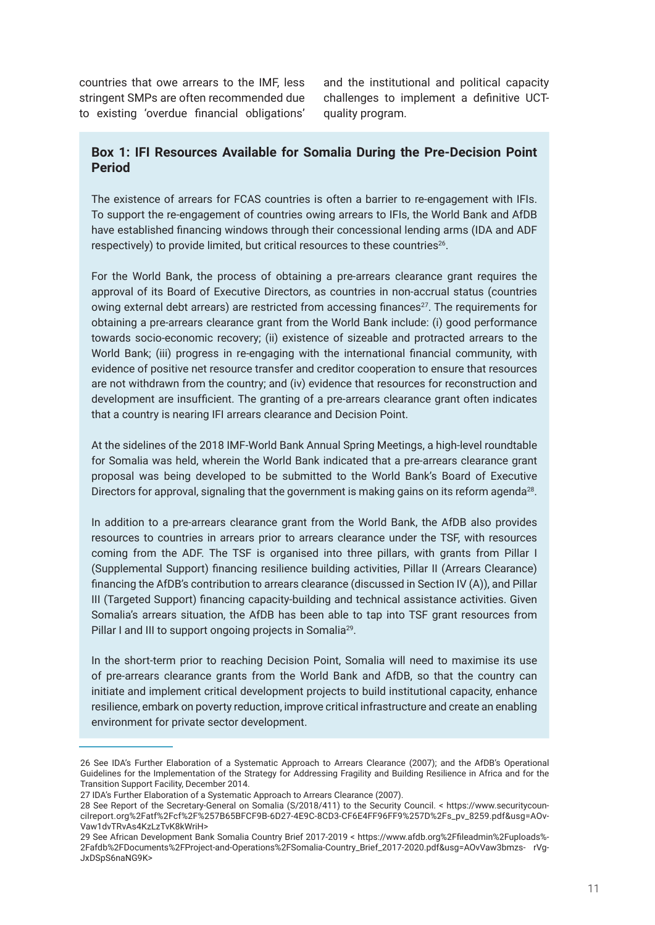countries that owe arrears to the IMF, less stringent SMPs are often recommended due to existing 'overdue financial obligations'

and the institutional and political capacity challenges to implement a definitive UCTquality program.

#### **Box 1: IFI Resources Available for Somalia During the Pre-Decision Point Period**

The existence of arrears for FCAS countries is often a barrier to re-engagement with IFIs. To support the re-engagement of countries owing arrears to IFIs, the World Bank and AfDB have established financing windows through their concessional lending arms (IDA and ADF respectively) to provide limited, but critical resources to these countries<sup>26</sup>.

For the World Bank, the process of obtaining a pre-arrears clearance grant requires the approval of its Board of Executive Directors, as countries in non-accrual status (countries owing external debt arrears) are restricted from accessing finances $27$ . The requirements for obtaining a pre-arrears clearance grant from the World Bank include: (i) good performance towards socio-economic recovery; (ii) existence of sizeable and protracted arrears to the World Bank; (iii) progress in re-engaging with the international financial community, with evidence of positive net resource transfer and creditor cooperation to ensure that resources are not withdrawn from the country; and (iv) evidence that resources for reconstruction and development are insufficient. The granting of a pre-arrears clearance grant often indicates that a country is nearing IFI arrears clearance and Decision Point.

At the sidelines of the 2018 IMF-World Bank Annual Spring Meetings, a high-level roundtable for Somalia was held, wherein the World Bank indicated that a pre-arrears clearance grant proposal was being developed to be submitted to the World Bank's Board of Executive Directors for approval, signaling that the government is making gains on its reform agenda<sup>28</sup>.

In addition to a pre-arrears clearance grant from the World Bank, the AfDB also provides resources to countries in arrears prior to arrears clearance under the TSF, with resources coming from the ADF. The TSF is organised into three pillars, with grants from Pillar I (Supplemental Support) financing resilience building activities, Pillar II (Arrears Clearance) financing the AfDB's contribution to arrears clearance (discussed in Section IV (A)), and Pillar III (Targeted Support) financing capacity-building and technical assistance activities. Given Somalia's arrears situation, the AfDB has been able to tap into TSF grant resources from Pillar I and III to support ongoing projects in Somalia<sup>29</sup>.

In the short-term prior to reaching Decision Point, Somalia will need to maximise its use of pre-arrears clearance grants from the World Bank and AfDB, so that the country can initiate and implement critical development projects to build institutional capacity, enhance resilience, embark on poverty reduction, improve critical infrastructure and create an enabling environment for private sector development.

<sup>26</sup> See IDA's Further Elaboration of a Systematic Approach to Arrears Clearance (2007); and the AfDB's Operational Guidelines for the Implementation of the Strategy for Addressing Fragility and Building Resilience in Africa and for the Transition Support Facility, December 2014.

<sup>27</sup> IDA's Further Elaboration of a Systematic Approach to Arrears Clearance (2007).

<sup>28</sup> See Report of the Secretary-General on Somalia (S/2018/411) to the Security Council. < https://www.securitycouncilreport.org%2Fatf%2Fcf%2F%257B65BFCF9B-6D27-4E9C-8CD3-CF6E4FF96FF9%257D%2Fs\_pv\_8259.pdf&usg=AOv-Vaw1dvTRvAs4KzLzTvK8kWriH>

<sup>29</sup> See African Development Bank Somalia Country Brief 2017-2019 < https://www.afdb.org%2Ffileadmin%2Fuploads%- 2Fafdb%2FDocuments%2FProject-and-Operations%2FSomalia-Country\_Brief\_2017-2020.pdf&usg=AOvVaw3bmzs- rVg-JxDSpS6naNG9K>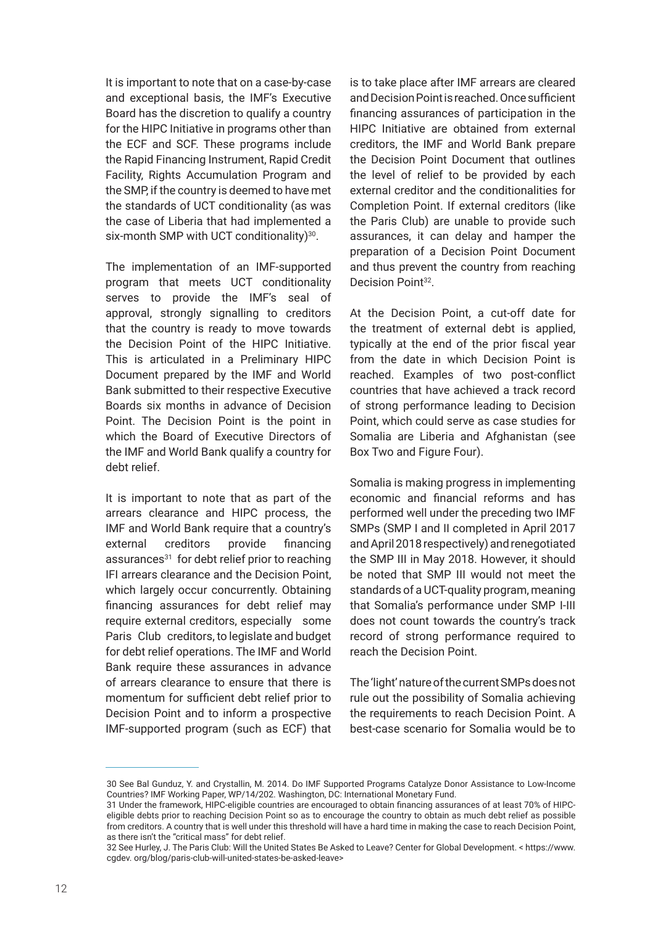It is important to note that on a case-by-case and exceptional basis, the IMF's Executive Board has the discretion to qualify a country for the HIPC Initiative in programs other than the ECF and SCF. These programs include the Rapid Financing Instrument, Rapid Credit Facility, Rights Accumulation Program and the SMP, if the country is deemed to have met the standards of UCT conditionality (as was the case of Liberia that had implemented a six-month SMP with UCT conditionality)<sup>30</sup>.

The implementation of an IMF-supported program that meets UCT conditionality serves to provide the IMF's seal of approval, strongly signalling to creditors that the country is ready to move towards the Decision Point of the HIPC Initiative. This is articulated in a Preliminary HIPC Document prepared by the IMF and World Bank submitted to their respective Executive Boards six months in advance of Decision Point. The Decision Point is the point in which the Board of Executive Directors of the IMF and World Bank qualify a country for debt relief.

It is important to note that as part of the arrears clearance and HIPC process, the IMF and World Bank require that a country's external creditors provide financing assurances<sup>31</sup> for debt relief prior to reaching IFI arrears clearance and the Decision Point, which largely occur concurrently. Obtaining financing assurances for debt relief may require external creditors, especially some Paris Club creditors, to legislate and budget for debt relief operations. The IMF and World Bank require these assurances in advance of arrears clearance to ensure that there is momentum for sufficient debt relief prior to Decision Point and to inform a prospective IMF-supported program (such as ECF) that

is to take place after IMF arrears are cleared and Decision Point is reached. Once sufficient financing assurances of participation in the HIPC Initiative are obtained from external creditors, the IMF and World Bank prepare the Decision Point Document that outlines the level of relief to be provided by each external creditor and the conditionalities for Completion Point. If external creditors (like the Paris Club) are unable to provide such assurances, it can delay and hamper the preparation of a Decision Point Document and thus prevent the country from reaching Decision Point<sup>32</sup>.

At the Decision Point, a cut-off date for the treatment of external debt is applied, typically at the end of the prior fiscal year from the date in which Decision Point is reached. Examples of two post-conflict countries that have achieved a track record of strong performance leading to Decision Point, which could serve as case studies for Somalia are Liberia and Afghanistan (see Box Two and Figure Four).

Somalia is making progress in implementing economic and financial reforms and has performed well under the preceding two IMF SMPs (SMP I and II completed in April 2017 and April 2018 respectively) and renegotiated the SMP III in May 2018. However, it should be noted that SMP III would not meet the standards of a UCT-quality program, meaning that Somalia's performance under SMP I-III does not count towards the country's track record of strong performance required to reach the Decision Point.

The 'light' nature of the current SMPs does not rule out the possibility of Somalia achieving the requirements to reach Decision Point. A best-case scenario for Somalia would be to

<sup>30</sup> See Bal Gunduz, Y. and Crystallin, M. 2014. Do IMF Supported Programs Catalyze Donor Assistance to Low-Income Countries? IMF Working Paper, WP/14/202. Washington, DC: International Monetary Fund.

<sup>31</sup> Under the framework, HIPC-eligible countries are encouraged to obtain financing assurances of at least 70% of HIPCeligible debts prior to reaching Decision Point so as to encourage the country to obtain as much debt relief as possible from creditors. A country that is well under this threshold will have a hard time in making the case to reach Decision Point, as there isn't the "critical mass" for debt relief.

<sup>32</sup> See Hurley, J. The Paris Club: Will the United States Be Asked to Leave? Center for Global Development. < https://www. cgdev. org/blog/paris-club-will-united-states-be-asked-leave>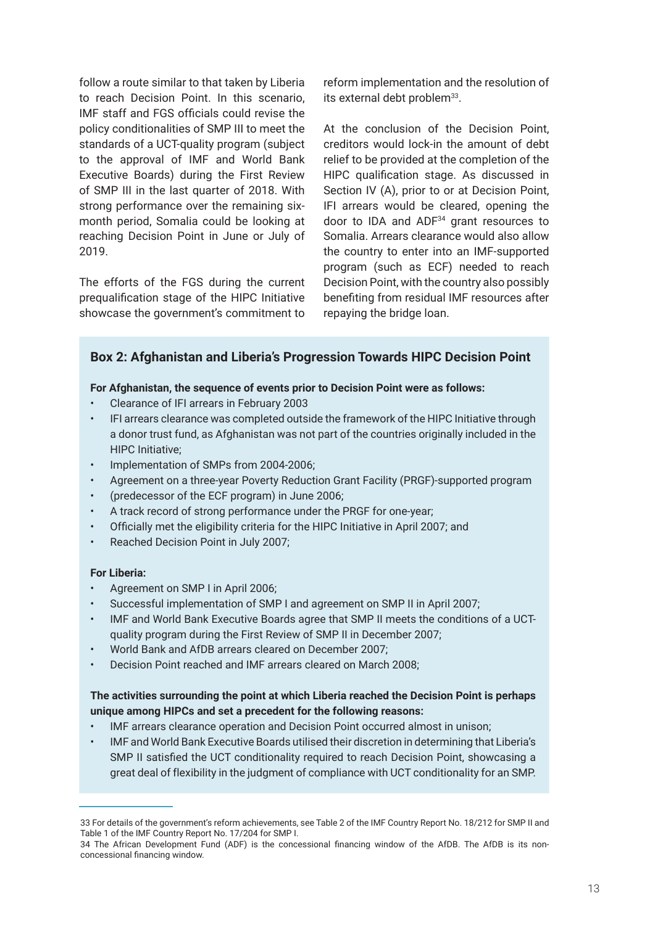follow a route similar to that taken by Liberia to reach Decision Point. In this scenario, IMF staff and FGS officials could revise the policy conditionalities of SMP III to meet the standards of a UCT-quality program (subject to the approval of IMF and World Bank Executive Boards) during the First Review of SMP III in the last quarter of 2018. With strong performance over the remaining sixmonth period, Somalia could be looking at reaching Decision Point in June or July of 2019.

The efforts of the FGS during the current prequalification stage of the HIPC Initiative showcase the government's commitment to reform implementation and the resolution of its external debt problem<sup>33</sup>.

At the conclusion of the Decision Point, creditors would lock-in the amount of debt relief to be provided at the completion of the HIPC qualification stage. As discussed in Section IV (A), prior to or at Decision Point, IFI arrears would be cleared, opening the door to IDA and ADF34 grant resources to Somalia. Arrears clearance would also allow the country to enter into an IMF-supported program (such as ECF) needed to reach Decision Point, with the country also possibly benefiting from residual IMF resources after repaying the bridge loan.

#### **Box 2: Afghanistan and Liberia's Progression Towards HIPC Decision Point**

#### **For Afghanistan, the sequence of events prior to Decision Point were as follows:**

- Clearance of IFI arrears in February 2003
- IFI arrears clearance was completed outside the framework of the HIPC Initiative through a donor trust fund, as Afghanistan was not part of the countries originally included in the HIPC Initiative;
- Implementation of SMPs from 2004-2006;
- Agreement on a three-year Poverty Reduction Grant Facility (PRGF)-supported program
- (predecessor of the ECF program) in June 2006;
- A track record of strong performance under the PRGF for one-year;
- Officially met the eligibility criteria for the HIPC Initiative in April 2007; and
- Reached Decision Point in July 2007;

#### **For Liberia:**

- Agreement on SMP I in April 2006;
- Successful implementation of SMP I and agreement on SMP II in April 2007;
- IMF and World Bank Executive Boards agree that SMP II meets the conditions of a UCTquality program during the First Review of SMP II in December 2007;
- World Bank and AfDB arrears cleared on December 2007;
- Decision Point reached and IMF arrears cleared on March 2008;

#### **The activities surrounding the point at which Liberia reached the Decision Point is perhaps unique among HIPCs and set a precedent for the following reasons:**

- IMF arrears clearance operation and Decision Point occurred almost in unison;
- IMF and World Bank Executive Boards utilised their discretion in determining that Liberia's SMP II satisfied the UCT conditionality required to reach Decision Point, showcasing a great deal of flexibility in the judgment of compliance with UCT conditionality for an SMP.

<sup>33</sup> For details of the government's reform achievements, see Table 2 of the IMF Country Report No. 18/212 for SMP II and Table 1 of the IMF Country Report No. 17/204 for SMP I.

<sup>34</sup> The African Development Fund (ADF) is the concessional financing window of the AfDB. The AfDB is its nonconcessional financing window.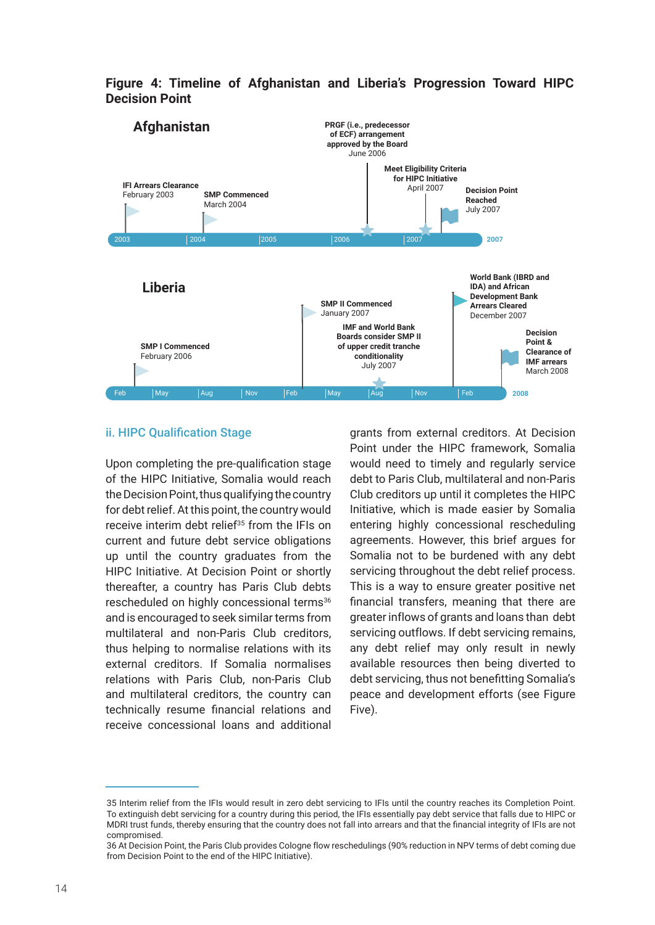

**Figure 4: Timeline of Afghanistan and Liberia's Progression Toward HIPC Decision Point**

#### ii. HIPC Qualification Stage

Upon completing the pre-qualification stage of the HIPC Initiative, Somalia would reach the Decision Point, thus qualifying the country for debt relief. At this point, the country would receive interim debt relief<sup>35</sup> from the IFIs on current and future debt service obligations up until the country graduates from the HIPC Initiative. At Decision Point or shortly thereafter, a country has Paris Club debts rescheduled on highly concessional terms<sup>36</sup> and is encouraged to seek similar terms from multilateral and non-Paris Club creditors, thus helping to normalise relations with its external creditors. If Somalia normalises relations with Paris Club, non-Paris Club and multilateral creditors, the country can technically resume financial relations and receive concessional loans and additional

grants from external creditors. At Decision Point under the HIPC framework, Somalia would need to timely and regularly service debt to Paris Club, multilateral and non-Paris Club creditors up until it completes the HIPC Initiative, which is made easier by Somalia entering highly concessional rescheduling agreements. However, this brief argues for Somalia not to be burdened with any debt servicing throughout the debt relief process. This is a way to ensure greater positive net financial transfers, meaning that there are greater inflows of grants and loans than debt servicing outflows. If debt servicing remains, any debt relief may only result in newly available resources then being diverted to debt servicing, thus not benefitting Somalia's peace and development efforts (see Figure Five).

<sup>35</sup> Interim relief from the IFIs would result in zero debt servicing to IFIs until the country reaches its Completion Point. To extinguish debt servicing for a country during this period, the IFIs essentially pay debt service that falls due to HIPC or MDRI trust funds, thereby ensuring that the country does not fall into arrears and that the financial integrity of IFIs are not compromised.

<sup>36</sup> At Decision Point, the Paris Club provides Cologne flow reschedulings (90% reduction in NPV terms of debt coming due from Decision Point to the end of the HIPC Initiative).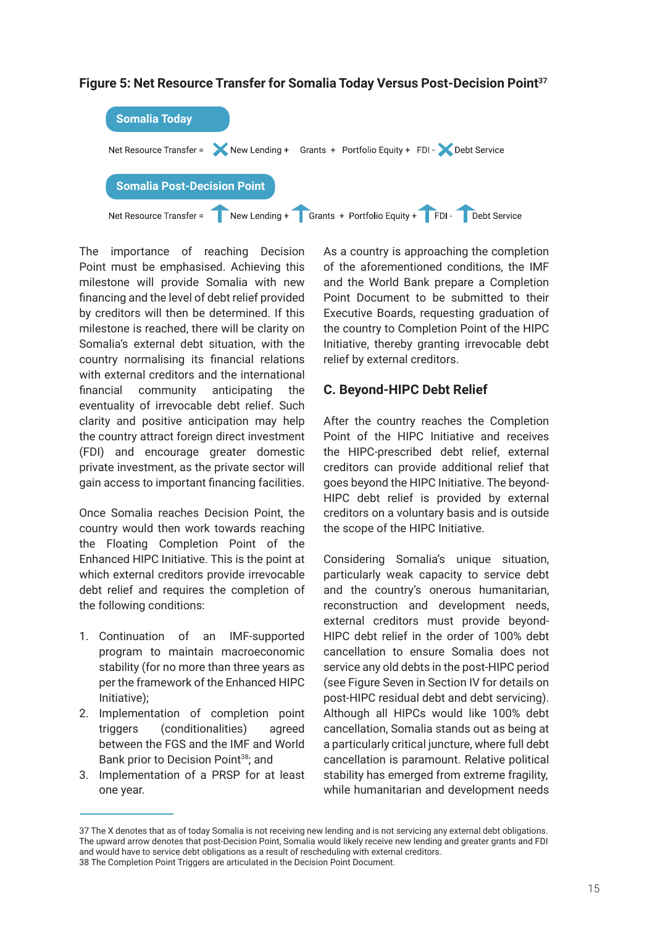

#### **Figure 5: Net Resource Transfer for Somalia Today Versus Post-Decision Point37**

The importance of reaching Decision Point must be emphasised. Achieving this milestone will provide Somalia with new financing and the level of debt relief provided by creditors will then be determined. If this milestone is reached, there will be clarity on Somalia's external debt situation, with the country normalising its financial relations with external creditors and the international financial community anticipating the eventuality of irrevocable debt relief. Such clarity and positive anticipation may help the country attract foreign direct investment (FDI) and encourage greater domestic private investment, as the private sector will gain access to important financing facilities.

Once Somalia reaches Decision Point, the country would then work towards reaching the Floating Completion Point of the Enhanced HIPC Initiative. This is the point at which external creditors provide irrevocable debt relief and requires the completion of the following conditions:

- 1. Continuation of an IMF-supported program to maintain macroeconomic stability (for no more than three years as per the framework of the Enhanced HIPC Initiative);
- 2. Implementation of completion point triggers (conditionalities) agreed between the FGS and the IMF and World Bank prior to Decision Point<sup>38</sup>; and
- 3. Implementation of a PRSP for at least one year.

As a country is approaching the completion of the aforementioned conditions, the IMF and the World Bank prepare a Completion Point Document to be submitted to their Executive Boards, requesting graduation of the country to Completion Point of the HIPC Initiative, thereby granting irrevocable debt relief by external creditors.

#### **C. Beyond-HIPC Debt Relief**

After the country reaches the Completion Point of the HIPC Initiative and receives the HIPC-prescribed debt relief, external creditors can provide additional relief that goes beyond the HIPC Initiative. The beyond-HIPC debt relief is provided by external creditors on a voluntary basis and is outside the scope of the HIPC Initiative.

Considering Somalia's unique situation, particularly weak capacity to service debt and the country's onerous humanitarian, reconstruction and development needs, external creditors must provide beyond-HIPC debt relief in the order of 100% debt cancellation to ensure Somalia does not service any old debts in the post-HIPC period (see Figure Seven in Section IV for details on post-HIPC residual debt and debt servicing). Although all HIPCs would like 100% debt cancellation, Somalia stands out as being at a particularly critical juncture, where full debt cancellation is paramount. Relative political stability has emerged from extreme fragility, while humanitarian and development needs

<sup>37</sup> The X denotes that as of today Somalia is not receiving new lending and is not servicing any external debt obligations. The upward arrow denotes that post-Decision Point, Somalia would likely receive new lending and greater grants and FDI and would have to service debt obligations as a result of rescheduling with external creditors. 38 The Completion Point Triggers are articulated in the Decision Point Document.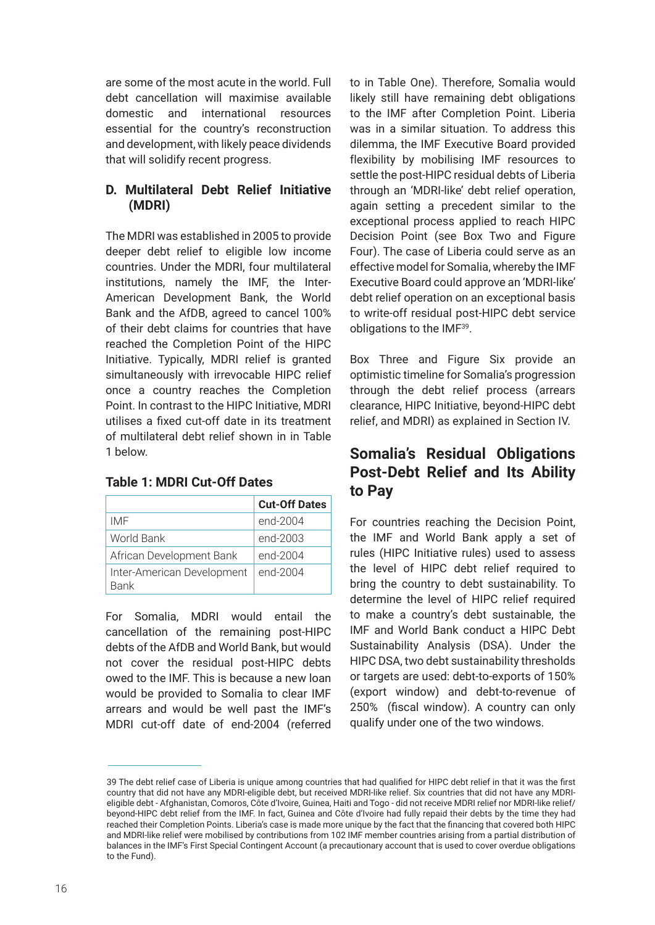are some of the most acute in the world. Full debt cancellation will maximise available domestic and international resources essential for the country's reconstruction and development, with likely peace dividends that will solidify recent progress.

#### **D. Multilateral Debt Relief Initiative (MDRI)**

The MDRI was established in 2005 to provide deeper debt relief to eligible low income countries. Under the MDRI, four multilateral institutions, namely the IMF, the Inter-American Development Bank, the World Bank and the AfDB, agreed to cancel 100% of their debt claims for countries that have reached the Completion Point of the HIPC Initiative. Typically, MDRI relief is granted simultaneously with irrevocable HIPC relief once a country reaches the Completion Point. In contrast to the HIPC Initiative, MDRI utilises a fixed cut-off date in its treatment of multilateral debt relief shown in in Table 1 below.

#### **Table 1: MDRI Cut-Off Dates**

|                                           | <b>Cut-Off Dates</b> |
|-------------------------------------------|----------------------|
| IMF                                       | end-2004             |
| World Bank                                | end-2003             |
| African Development Bank                  | end-2004             |
| Inter-American Development<br><b>Bank</b> | end-2004             |

For Somalia, MDRI would entail the cancellation of the remaining post-HIPC debts of the AfDB and World Bank, but would not cover the residual post-HIPC debts owed to the IMF. This is because a new loan would be provided to Somalia to clear IMF arrears and would be well past the IMF's MDRI cut-off date of end-2004 (referred to in Table One). Therefore, Somalia would likely still have remaining debt obligations to the IMF after Completion Point. Liberia was in a similar situation. To address this dilemma, the IMF Executive Board provided flexibility by mobilising IMF resources to settle the post-HIPC residual debts of Liberia through an 'MDRI-like' debt relief operation, again setting a precedent similar to the exceptional process applied to reach HIPC Decision Point (see Box Two and Figure Four). The case of Liberia could serve as an effective model for Somalia, whereby the IMF Executive Board could approve an 'MDRI-like' debt relief operation on an exceptional basis to write-off residual post-HIPC debt service obligations to the IMF39.

Box Three and Figure Six provide an optimistic timeline for Somalia's progression through the debt relief process (arrears clearance, HIPC Initiative, beyond-HIPC debt relief, and MDRI) as explained in Section IV.

### **Somalia's Residual Obligations Post-Debt Relief and Its Ability to Pay**

For countries reaching the Decision Point, the IMF and World Bank apply a set of rules (HIPC Initiative rules) used to assess the level of HIPC debt relief required to bring the country to debt sustainability. To determine the level of HIPC relief required to make a country's debt sustainable, the IMF and World Bank conduct a HIPC Debt Sustainability Analysis (DSA). Under the HIPC DSA, two debt sustainability thresholds or targets are used: debt-to-exports of 150% (export window) and debt-to-revenue of 250% (fiscal window). A country can only qualify under one of the two windows.

<sup>39</sup> The debt relief case of Liberia is unique among countries that had qualified for HIPC debt relief in that it was the first country that did not have any MDRI-eligible debt, but received MDRI-like relief. Six countries that did not have any MDRIeligible debt - Afghanistan, Comoros, Côte d'Ivoire, Guinea, Haiti and Togo - did not receive MDRI relief nor MDRI-like relief/ beyond-HIPC debt relief from the IMF. In fact, Guinea and Côte d'Ivoire had fully repaid their debts by the time they had reached their Completion Points. Liberia's case is made more unique by the fact that the financing that covered both HIPC and MDRI-like relief were mobilised by contributions from 102 IMF member countries arising from a partial distribution of balances in the IMF's First Special Contingent Account (a precautionary account that is used to cover overdue obligations to the Fund).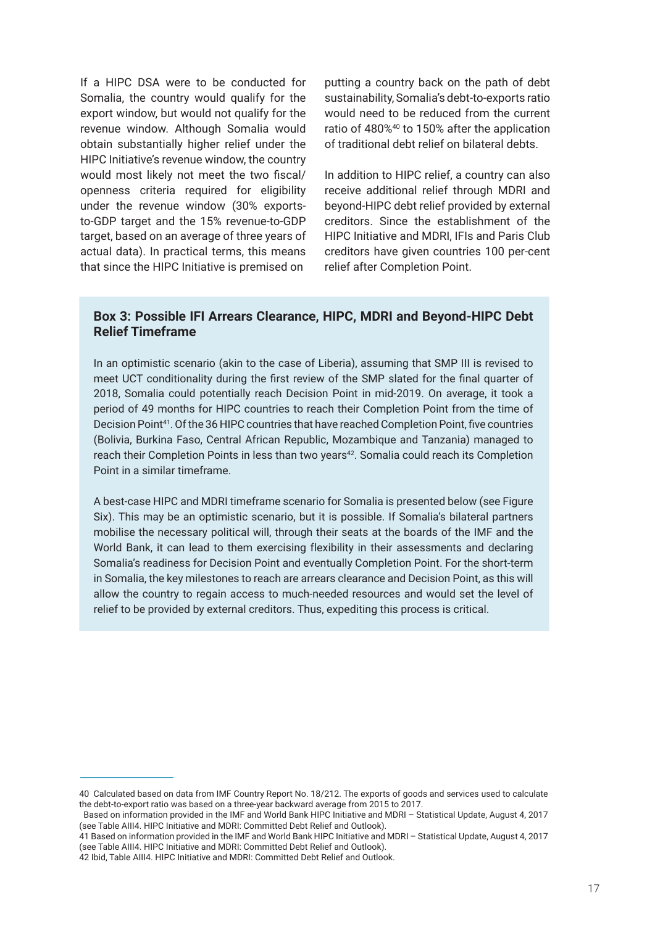If a HIPC DSA were to be conducted for Somalia, the country would qualify for the export window, but would not qualify for the revenue window. Although Somalia would obtain substantially higher relief under the HIPC Initiative's revenue window, the country would most likely not meet the two fiscal/ openness criteria required for eligibility under the revenue window (30% exportsto-GDP target and the 15% revenue-to-GDP target, based on an average of three years of actual data). In practical terms, this means that since the HIPC Initiative is premised on

putting a country back on the path of debt sustainability, Somalia's debt-to-exports ratio would need to be reduced from the current ratio of 480%40 to 150% after the application of traditional debt relief on bilateral debts.

In addition to HIPC relief, a country can also receive additional relief through MDRI and beyond-HIPC debt relief provided by external creditors. Since the establishment of the HIPC Initiative and MDRI, IFIs and Paris Club creditors have given countries 100 per-cent relief after Completion Point.

#### **Box 3: Possible IFI Arrears Clearance, HIPC, MDRI and Beyond-HIPC Debt Relief Timeframe**

In an optimistic scenario (akin to the case of Liberia), assuming that SMP III is revised to meet UCT conditionality during the first review of the SMP slated for the final quarter of 2018, Somalia could potentially reach Decision Point in mid-2019. On average, it took a period of 49 months for HIPC countries to reach their Completion Point from the time of Decision Point<sup>41</sup>. Of the 36 HIPC countries that have reached Completion Point, five countries (Bolivia, Burkina Faso, Central African Republic, Mozambique and Tanzania) managed to reach their Completion Points in less than two years<sup>42</sup>. Somalia could reach its Completion Point in a similar timeframe.

A best-case HIPC and MDRI timeframe scenario for Somalia is presented below (see Figure Six). This may be an optimistic scenario, but it is possible. If Somalia's bilateral partners mobilise the necessary political will, through their seats at the boards of the IMF and the World Bank, it can lead to them exercising flexibility in their assessments and declaring Somalia's readiness for Decision Point and eventually Completion Point. For the short-term in Somalia, the key milestones to reach are arrears clearance and Decision Point, as this will allow the country to regain access to much-needed resources and would set the level of relief to be provided by external creditors. Thus, expediting this process is critical.

<sup>40</sup> Calculated based on data from IMF Country Report No. 18/212. The exports of goods and services used to calculate the debt-to-export ratio was based on a three-year backward average from 2015 to 2017.

Based on information provided in the IMF and World Bank HIPC Initiative and MDRI – Statistical Update, August 4, 2017 (see Table AIII4. HIPC Initiative and MDRI: Committed Debt Relief and Outlook).

<sup>41</sup> Based on information provided in the IMF and World Bank HIPC Initiative and MDRI – Statistical Update, August 4, 2017 (see Table AIII4. HIPC Initiative and MDRI: Committed Debt Relief and Outlook).

<sup>42</sup> Ibid, Table AIII4. HIPC Initiative and MDRI: Committed Debt Relief and Outlook.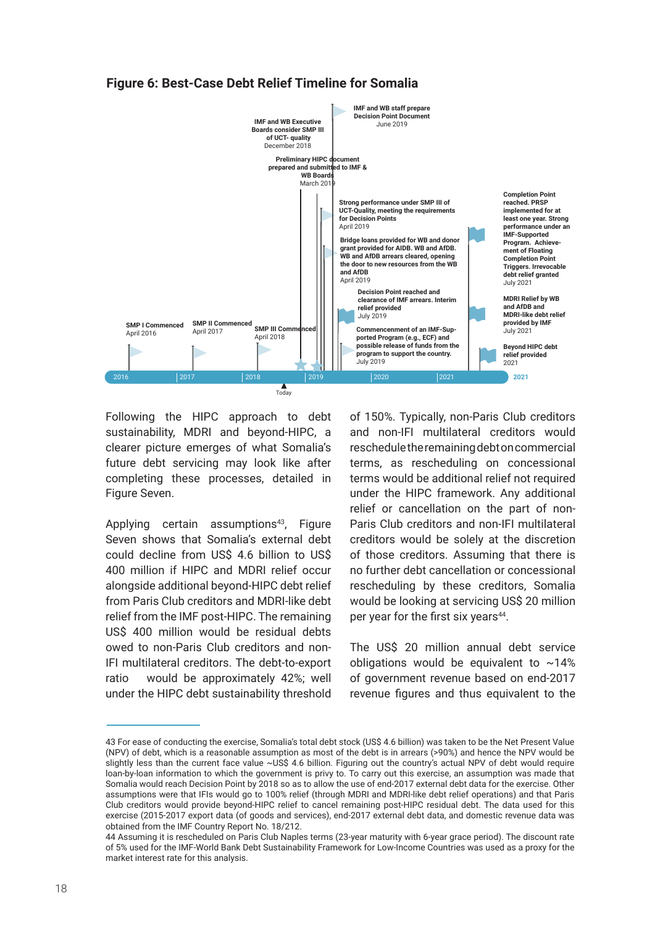#### **Figure 6: Best-Case Debt Relief Timeline for Somalia**



Following the HIPC approach to debt sustainability, MDRI and beyond-HIPC, a clearer picture emerges of what Somalia's future debt servicing may look like after completing these processes, detailed in Figure Seven.

Applying certain assumptions<sup>43</sup>, Figure Seven shows that Somalia's external debt could decline from US\$ 4.6 billion to US\$ 400 million if HIPC and MDRI relief occur alongside additional beyond-HIPC debt relief from Paris Club creditors and MDRI-like debt relief from the IMF post-HIPC. The remaining US\$ 400 million would be residual debts owed to non-Paris Club creditors and non-IFI multilateral creditors. The debt-to-export ratio would be approximately 42%; well under the HIPC debt sustainability threshold

of 150%. Typically, non-Paris Club creditors and non-IFI multilateral creditors would reschedule the remaining debt on commercial terms, as rescheduling on concessional terms would be additional relief not required under the HIPC framework. Any additional relief or cancellation on the part of non-Paris Club creditors and non-IFI multilateral creditors would be solely at the discretion of those creditors. Assuming that there is no further debt cancellation or concessional rescheduling by these creditors, Somalia would be looking at servicing US\$ 20 million per year for the first six years<sup>44</sup>.

The US\$ 20 million annual debt service obligations would be equivalent to  $~14\%$ of government revenue based on end-2017 revenue figures and thus equivalent to the

<sup>43</sup> For ease of conducting the exercise, Somalia's total debt stock (US\$ 4.6 billion) was taken to be the Net Present Value (NPV) of debt, which is a reasonable assumption as most of the debt is in arrears (>90%) and hence the NPV would be slightly less than the current face value ~US\$ 4.6 billion. Figuring out the country's actual NPV of debt would require loan-by-loan information to which the government is privy to. To carry out this exercise, an assumption was made that Somalia would reach Decision Point by 2018 so as to allow the use of end-2017 external debt data for the exercise. Other assumptions were that IFIs would go to 100% relief (through MDRI and MDRI-like debt relief operations) and that Paris Club creditors would provide beyond-HIPC relief to cancel remaining post-HIPC residual debt. The data used for this exercise (2015-2017 export data (of goods and services), end-2017 external debt data, and domestic revenue data was obtained from the IMF Country Report No. 18/212.

<sup>44</sup> Assuming it is rescheduled on Paris Club Naples terms (23-year maturity with 6-year grace period). The discount rate of 5% used for the IMF-World Bank Debt Sustainability Framework for Low-Income Countries was used as a proxy for the market interest rate for this analysis.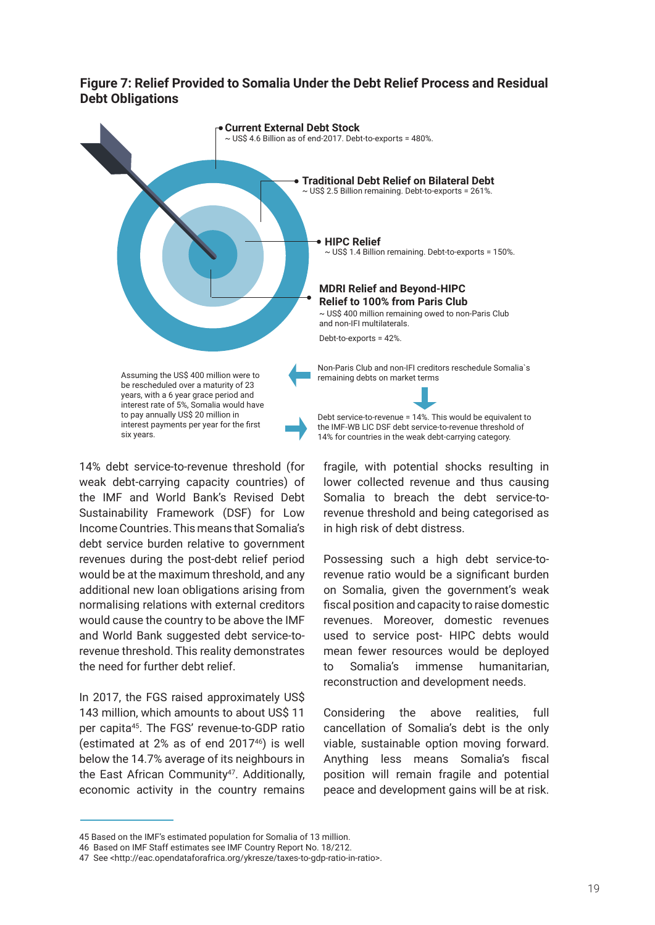#### **Figure 7: Relief Provided to Somalia Under the Debt Relief Process and Residual Debt Obligations**



14% debt service-to-revenue threshold (for weak debt-carrying capacity countries) of the IMF and World Bank's Revised Debt Sustainability Framework (DSF) for Low Income Countries. This means that Somalia's debt service burden relative to government revenues during the post-debt relief period would be at the maximum threshold, and any additional new loan obligations arising from normalising relations with external creditors would cause the country to be above the IMF and World Bank suggested debt service-torevenue threshold. This reality demonstrates the need for further debt relief.

In 2017, the FGS raised approximately US\$ 143 million, which amounts to about US\$ 11 per capita45. The FGS' revenue-to-GDP ratio (estimated at  $2\%$  as of end  $2017^{46}$ ) is well below the 14.7% average of its neighbours in the East African Community<sup>47</sup>. Additionally, economic activity in the country remains fragile, with potential shocks resulting in lower collected revenue and thus causing Somalia to breach the debt service-torevenue threshold and being categorised as in high risk of debt distress.

Possessing such a high debt service-torevenue ratio would be a significant burden on Somalia, given the government's weak fiscal position and capacity to raise domestic revenues. Moreover, domestic revenues used to service post- HIPC debts would mean fewer resources would be deployed to Somalia's immense humanitarian, reconstruction and development needs.

Considering the above realities, full cancellation of Somalia's debt is the only viable, sustainable option moving forward. Anything less means Somalia's fiscal position will remain fragile and potential peace and development gains will be at risk.

<sup>45</sup> Based on the IMF's estimated population for Somalia of 13 million.

<sup>46</sup> Based on IMF Staff estimates see IMF Country Report No. 18/212.

<sup>47</sup> See <http://eac.opendataforafrica.org/ykresze/taxes-to-gdp-ratio-in-ratio>.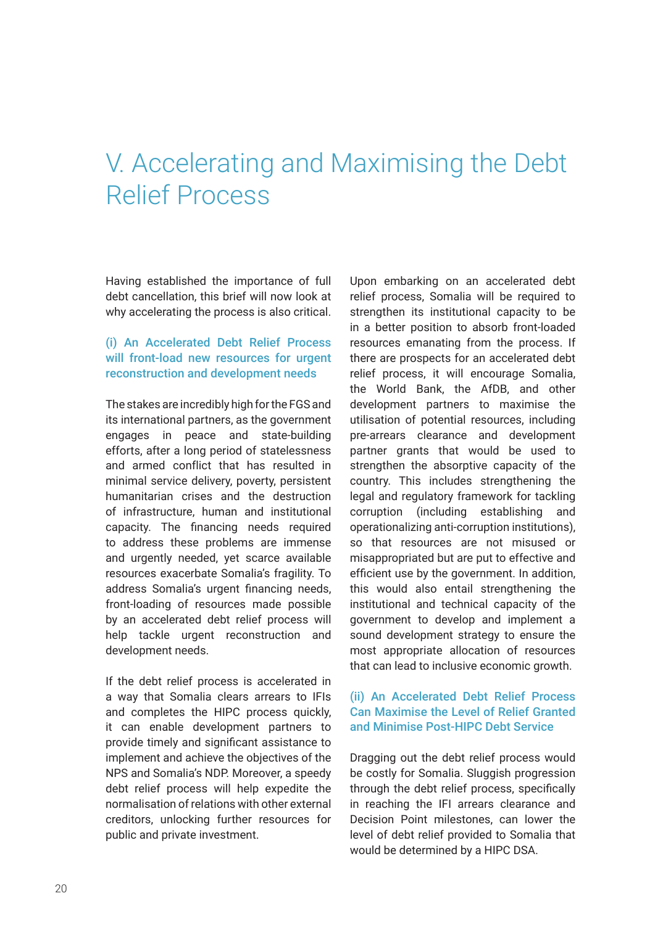## V. Accelerating and Maximising the Debt Relief Process

Having established the importance of full debt cancellation, this brief will now look at why accelerating the process is also critical.

#### (i) An Accelerated Debt Relief Process will front-load new resources for urgent reconstruction and development needs

The stakes are incredibly high for the FGS and its international partners, as the government engages in peace and state-building efforts, after a long period of statelessness and armed conflict that has resulted in minimal service delivery, poverty, persistent humanitarian crises and the destruction of infrastructure, human and institutional capacity. The financing needs required to address these problems are immense and urgently needed, yet scarce available resources exacerbate Somalia's fragility. To address Somalia's urgent financing needs, front-loading of resources made possible by an accelerated debt relief process will help tackle urgent reconstruction and development needs.

If the debt relief process is accelerated in a way that Somalia clears arrears to IFIs and completes the HIPC process quickly, it can enable development partners to provide timely and significant assistance to implement and achieve the objectives of the NPS and Somalia's NDP. Moreover, a speedy debt relief process will help expedite the normalisation of relations with other external creditors, unlocking further resources for public and private investment.

Upon embarking on an accelerated debt relief process, Somalia will be required to strengthen its institutional capacity to be in a better position to absorb front-loaded resources emanating from the process. If there are prospects for an accelerated debt relief process, it will encourage Somalia, the World Bank, the AfDB, and other development partners to maximise the utilisation of potential resources, including pre-arrears clearance and development partner grants that would be used to strengthen the absorptive capacity of the country. This includes strengthening the legal and regulatory framework for tackling corruption (including establishing and operationalizing anti-corruption institutions), so that resources are not misused or misappropriated but are put to effective and efficient use by the government. In addition, this would also entail strengthening the institutional and technical capacity of the government to develop and implement a sound development strategy to ensure the most appropriate allocation of resources that can lead to inclusive economic growth.

#### (ii) An Accelerated Debt Relief Process Can Maximise the Level of Relief Granted and Minimise Post-HIPC Debt Service

Dragging out the debt relief process would be costly for Somalia. Sluggish progression through the debt relief process, specifically in reaching the IFI arrears clearance and Decision Point milestones, can lower the level of debt relief provided to Somalia that would be determined by a HIPC DSA.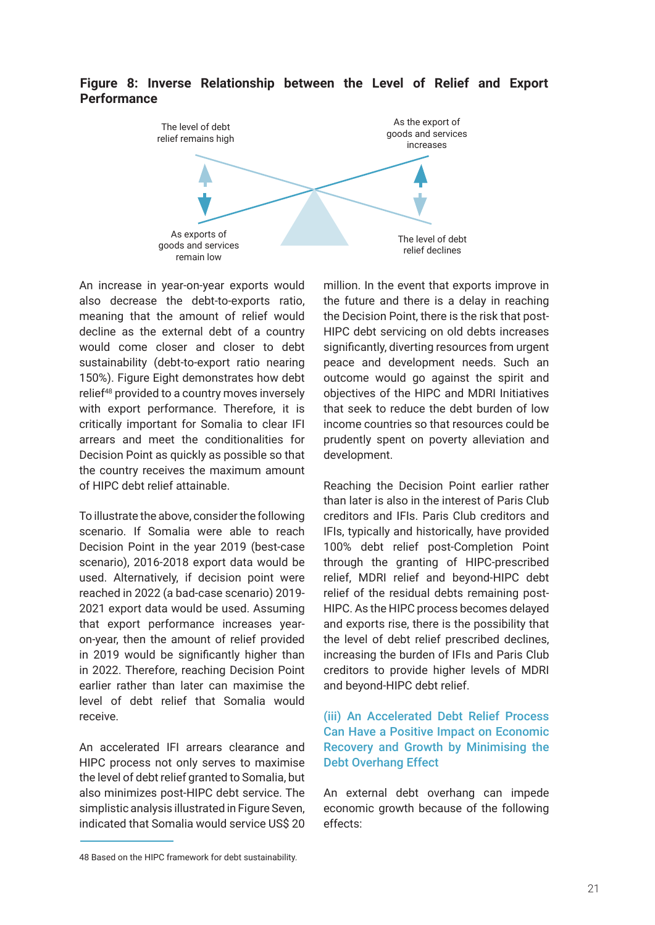

#### **Figure 8: Inverse Relationship between the Level of Relief and Export Performance**

An increase in year-on-year exports would also decrease the debt-to-exports ratio, meaning that the amount of relief would decline as the external debt of a country would come closer and closer to debt sustainability (debt-to-export ratio nearing 150%). Figure Eight demonstrates how debt relief48 provided to a country moves inversely with export performance. Therefore, it is critically important for Somalia to clear IFI arrears and meet the conditionalities for Decision Point as quickly as possible so that the country receives the maximum amount of HIPC debt relief attainable.

To illustrate the above, consider the following scenario. If Somalia were able to reach Decision Point in the year 2019 (best-case scenario), 2016-2018 export data would be used. Alternatively, if decision point were reached in 2022 (a bad-case scenario) 2019- 2021 export data would be used. Assuming that export performance increases yearon-year, then the amount of relief provided in 2019 would be significantly higher than in 2022. Therefore, reaching Decision Point earlier rather than later can maximise the level of debt relief that Somalia would receive.

An accelerated IFI arrears clearance and HIPC process not only serves to maximise the level of debt relief granted to Somalia, but also minimizes post-HIPC debt service. The simplistic analysis illustrated in Figure Seven, indicated that Somalia would service US\$ 20 million. In the event that exports improve in the future and there is a delay in reaching the Decision Point, there is the risk that post-HIPC debt servicing on old debts increases significantly, diverting resources from urgent peace and development needs. Such an outcome would go against the spirit and objectives of the HIPC and MDRI Initiatives that seek to reduce the debt burden of low income countries so that resources could be prudently spent on poverty alleviation and development.

Reaching the Decision Point earlier rather than later is also in the interest of Paris Club creditors and IFIs. Paris Club creditors and IFIs, typically and historically, have provided 100% debt relief post-Completion Point through the granting of HIPC-prescribed relief, MDRI relief and beyond-HIPC debt relief of the residual debts remaining post-HIPC. As the HIPC process becomes delayed and exports rise, there is the possibility that the level of debt relief prescribed declines, increasing the burden of IFIs and Paris Club creditors to provide higher levels of MDRI and beyond-HIPC debt relief.

#### (iii) An Accelerated Debt Relief Process Can Have a Positive Impact on Economic Recovery and Growth by Minimising the Debt Overhang Effect

An external debt overhang can impede economic growth because of the following effects:

<sup>48</sup> Based on the HIPC framework for debt sustainability.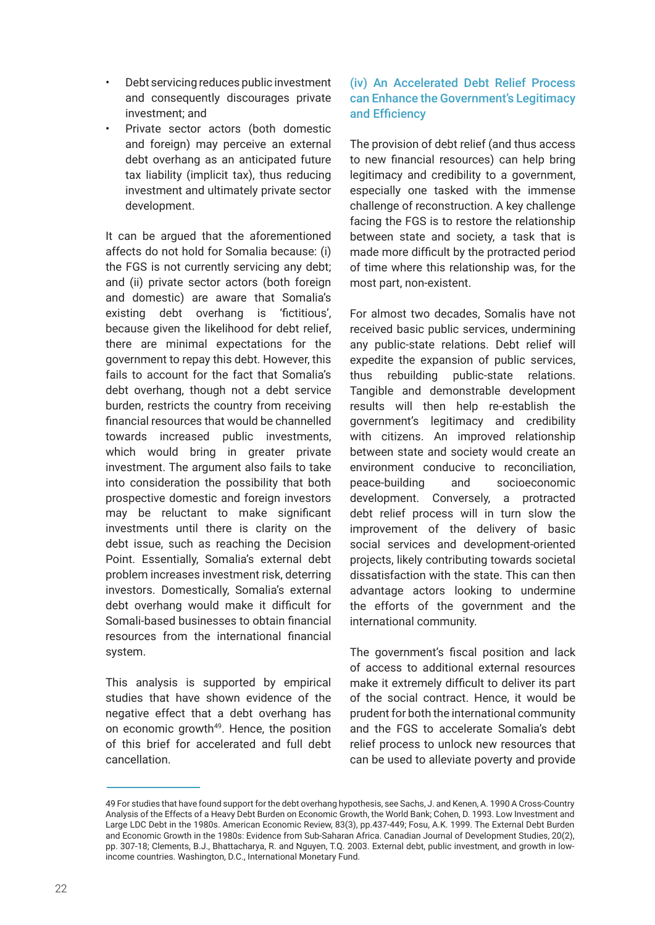- Debt servicing reduces public investment and consequently discourages private investment; and
- Private sector actors (both domestic and foreign) may perceive an external debt overhang as an anticipated future tax liability (implicit tax), thus reducing investment and ultimately private sector development.

It can be argued that the aforementioned affects do not hold for Somalia because: (i) the FGS is not currently servicing any debt; and (ii) private sector actors (both foreign and domestic) are aware that Somalia's existing debt overhang is 'fictitious', because given the likelihood for debt relief, there are minimal expectations for the government to repay this debt. However, this fails to account for the fact that Somalia's debt overhang, though not a debt service burden, restricts the country from receiving financial resources that would be channelled towards increased public investments, which would bring in greater private investment. The argument also fails to take into consideration the possibility that both prospective domestic and foreign investors may be reluctant to make significant investments until there is clarity on the debt issue, such as reaching the Decision Point. Essentially, Somalia's external debt problem increases investment risk, deterring investors. Domestically, Somalia's external debt overhang would make it difficult for Somali-based businesses to obtain financial resources from the international financial system.

This analysis is supported by empirical studies that have shown evidence of the negative effect that a debt overhang has on economic growth<sup>49</sup>. Hence, the position of this brief for accelerated and full debt cancellation.

#### (iv) An Accelerated Debt Relief Process can Enhance the Government's Legitimacy and Efficiency

The provision of debt relief (and thus access to new financial resources) can help bring legitimacy and credibility to a government, especially one tasked with the immense challenge of reconstruction. A key challenge facing the FGS is to restore the relationship between state and society, a task that is made more difficult by the protracted period of time where this relationship was, for the most part, non-existent.

For almost two decades, Somalis have not received basic public services, undermining any public-state relations. Debt relief will expedite the expansion of public services, thus rebuilding public-state relations. Tangible and demonstrable development results will then help re-establish the government's legitimacy and credibility with citizens. An improved relationship between state and society would create an environment conducive to reconciliation, peace-building and socioeconomic development. Conversely, a protracted debt relief process will in turn slow the improvement of the delivery of basic social services and development-oriented projects, likely contributing towards societal dissatisfaction with the state. This can then advantage actors looking to undermine the efforts of the government and the international community.

The government's fiscal position and lack of access to additional external resources make it extremely difficult to deliver its part of the social contract. Hence, it would be prudent for both the international community and the FGS to accelerate Somalia's debt relief process to unlock new resources that can be used to alleviate poverty and provide

<sup>49</sup> For studies that have found support for the debt overhang hypothesis, see Sachs, J. and Kenen, A. 1990 A Cross-Country Analysis of the Effects of a Heavy Debt Burden on Economic Growth, the World Bank; Cohen, D. 1993. Low Investment and Large LDC Debt in the 1980s. American Economic Review, 83(3), pp.437-449; Fosu, A.K. 1999. The External Debt Burden and Economic Growth in the 1980s: Evidence from Sub-Saharan Africa. Canadian Journal of Development Studies, 20(2), pp. 307-18; Clements, B.J., Bhattacharya, R. and Nguyen, T.Q. 2003. External debt, public investment, and growth in lowincome countries. Washington, D.C., International Monetary Fund.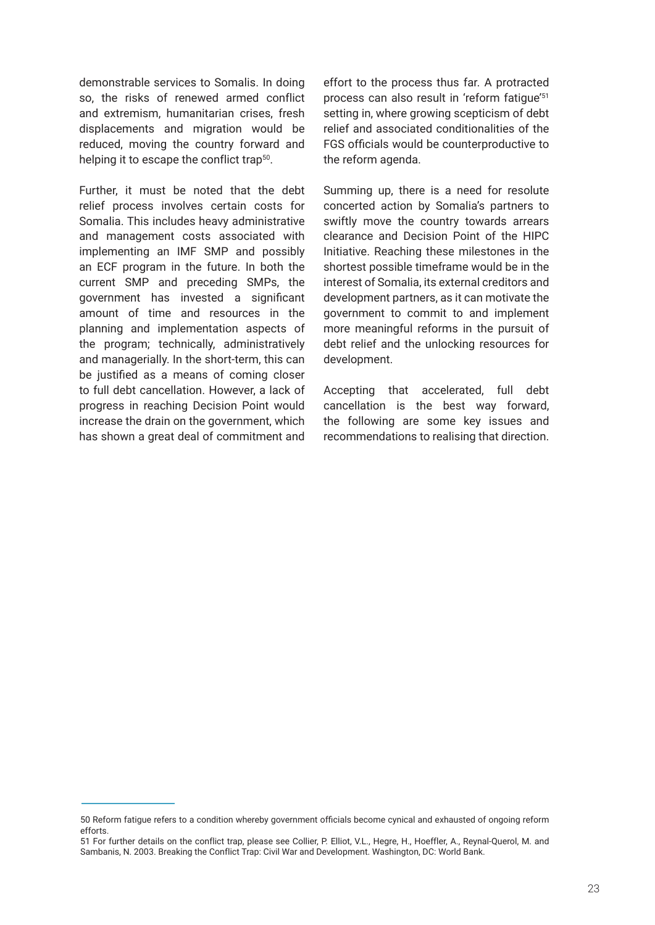demonstrable services to Somalis. In doing so, the risks of renewed armed conflict and extremism, humanitarian crises, fresh displacements and migration would be reduced, moving the country forward and helping it to escape the conflict trap<sup>50</sup>.

Further, it must be noted that the debt relief process involves certain costs for Somalia. This includes heavy administrative and management costs associated with implementing an IMF SMP and possibly an ECF program in the future. In both the current SMP and preceding SMPs, the government has invested a significant amount of time and resources in the planning and implementation aspects of the program; technically, administratively and managerially. In the short-term, this can be justified as a means of coming closer to full debt cancellation. However, a lack of progress in reaching Decision Point would increase the drain on the government, which has shown a great deal of commitment and effort to the process thus far. A protracted process can also result in 'reform fatigue'51 setting in, where growing scepticism of debt relief and associated conditionalities of the FGS officials would be counterproductive to the reform agenda.

Summing up, there is a need for resolute concerted action by Somalia's partners to swiftly move the country towards arrears clearance and Decision Point of the HIPC Initiative. Reaching these milestones in the shortest possible timeframe would be in the interest of Somalia, its external creditors and development partners, as it can motivate the government to commit to and implement more meaningful reforms in the pursuit of debt relief and the unlocking resources for development.

Accepting that accelerated, full debt cancellation is the best way forward, the following are some key issues and recommendations to realising that direction.

<sup>50</sup> Reform fatigue refers to a condition whereby government officials become cynical and exhausted of ongoing reform efforts.

<sup>51</sup> For further details on the conflict trap, please see Collier, P. Elliot, V.L., Hegre, H., Hoeffler, A., Reynal-Querol, M. and Sambanis, N. 2003. Breaking the Conflict Trap: Civil War and Development. Washington, DC: World Bank.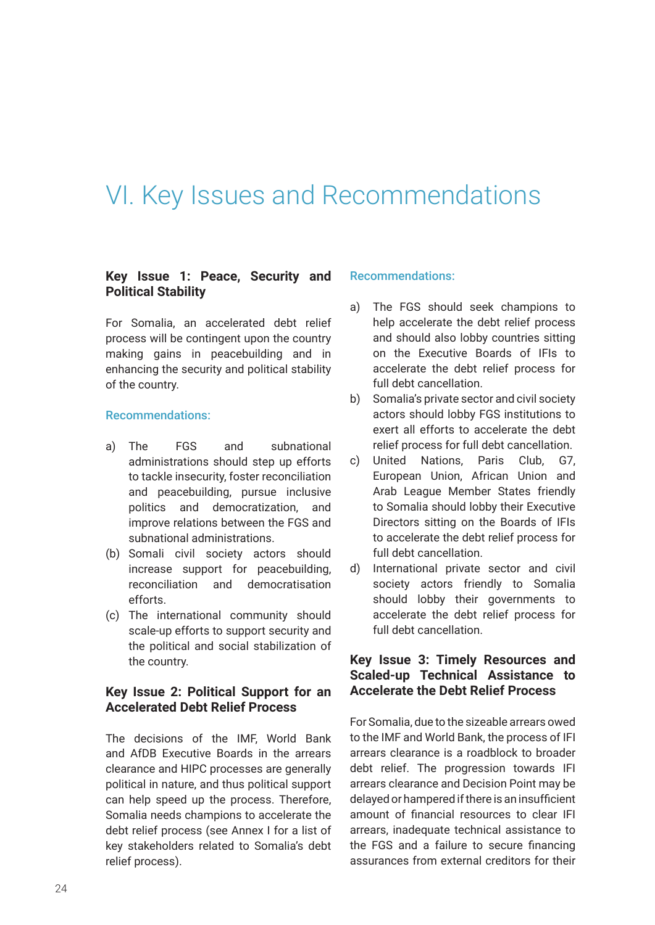## VI. Key Issues and Recommendations

#### **Key Issue 1: Peace, Security and Political Stability**

For Somalia, an accelerated debt relief process will be contingent upon the country making gains in peacebuilding and in enhancing the security and political stability of the country.

#### Recommendations:

- a) The FGS and subnational administrations should step up efforts to tackle insecurity, foster reconciliation and peacebuilding, pursue inclusive politics and democratization, and improve relations between the FGS and subnational administrations.
- (b) Somali civil society actors should increase support for peacebuilding, reconciliation and democratisation efforts.
- (c) The international community should scale-up efforts to support security and the political and social stabilization of the country.

#### **Key Issue 2: Political Support for an Accelerated Debt Relief Process**

The decisions of the IMF, World Bank and AfDB Executive Boards in the arrears clearance and HIPC processes are generally political in nature, and thus political support can help speed up the process. Therefore, Somalia needs champions to accelerate the debt relief process (see Annex I for a list of key stakeholders related to Somalia's debt relief process).

#### Recommendations:

- a) The FGS should seek champions to help accelerate the debt relief process and should also lobby countries sitting on the Executive Boards of IFIs to accelerate the debt relief process for full debt cancellation.
- b) Somalia's private sector and civil society actors should lobby FGS institutions to exert all efforts to accelerate the debt relief process for full debt cancellation.
- c) United Nations, Paris Club, G7, European Union, African Union and Arab League Member States friendly to Somalia should lobby their Executive Directors sitting on the Boards of IFIs to accelerate the debt relief process for full debt cancellation.
- d) International private sector and civil society actors friendly to Somalia should lobby their governments to accelerate the debt relief process for full debt cancellation.

#### **Key Issue 3: Timely Resources and Scaled-up Technical Assistance to Accelerate the Debt Relief Process**

For Somalia, due to the sizeable arrears owed to the IMF and World Bank, the process of IFI arrears clearance is a roadblock to broader debt relief. The progression towards IFI arrears clearance and Decision Point may be delayed or hampered if there is an insufficient amount of financial resources to clear IFI arrears, inadequate technical assistance to the FGS and a failure to secure financing assurances from external creditors for their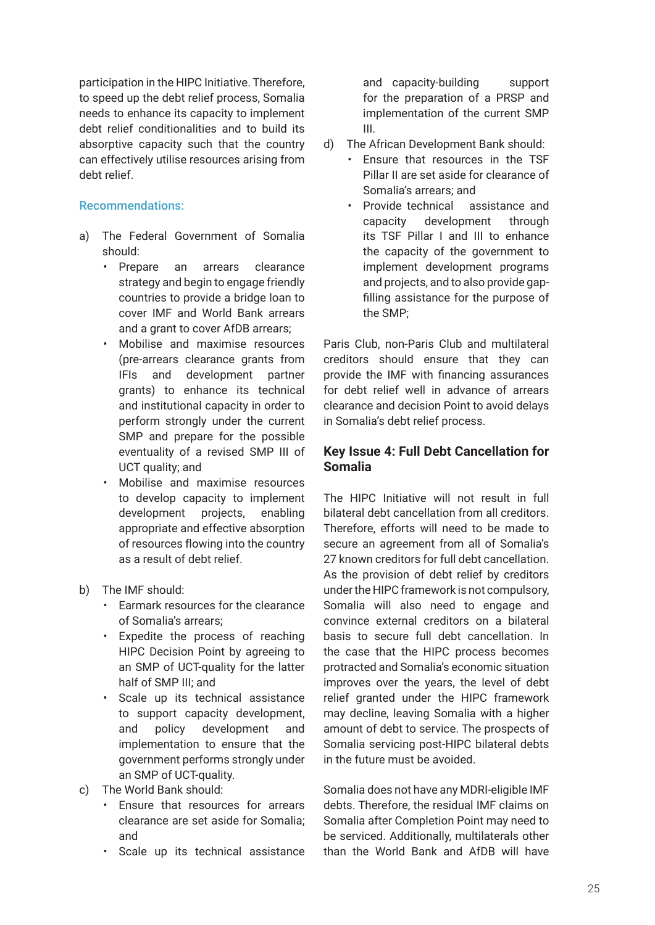participation in the HIPC Initiative. Therefore, to speed up the debt relief process, Somalia needs to enhance its capacity to implement debt relief conditionalities and to build its absorptive capacity such that the country can effectively utilise resources arising from debt relief.

#### Recommendations:

- a) The Federal Government of Somalia should:
	- Prepare an arrears clearance strategy and begin to engage friendly countries to provide a bridge loan to cover IMF and World Bank arrears and a grant to cover AfDB arrears;
	- Mobilise and maximise resources (pre-arrears clearance grants from IFIs and development partner grants) to enhance its technical and institutional capacity in order to perform strongly under the current SMP and prepare for the possible eventuality of a revised SMP III of UCT quality; and
	- Mobilise and maximise resources to develop capacity to implement development projects, enabling appropriate and effective absorption of resources flowing into the country as a result of debt relief.
- b) The IMF should:
	- Earmark resources for the clearance of Somalia's arrears;
	- Expedite the process of reaching HIPC Decision Point by agreeing to an SMP of UCT-quality for the latter half of SMP III; and
	- Scale up its technical assistance to support capacity development, and policy development and implementation to ensure that the government performs strongly under an SMP of UCT-quality.
- c) The World Bank should:
	- Ensure that resources for arrears clearance are set aside for Somalia; and
	- Scale up its technical assistance

and capacity-building support for the preparation of a PRSP and implementation of the current SMP III.

- d) The African Development Bank should:
	- Ensure that resources in the TSF Pillar II are set aside for clearance of Somalia's arrears; and
	- Provide technical assistance and capacity development through its TSF Pillar I and III to enhance the capacity of the government to implement development programs and projects, and to also provide gapfilling assistance for the purpose of the SMP;

Paris Club, non-Paris Club and multilateral creditors should ensure that they can provide the IMF with financing assurances for debt relief well in advance of arrears clearance and decision Point to avoid delays in Somalia's debt relief process.

#### **Key Issue 4: Full Debt Cancellation for Somalia**

The HIPC Initiative will not result in full bilateral debt cancellation from all creditors. Therefore, efforts will need to be made to secure an agreement from all of Somalia's 27 known creditors for full debt cancellation. As the provision of debt relief by creditors under the HIPC framework is not compulsory, Somalia will also need to engage and convince external creditors on a bilateral basis to secure full debt cancellation. In the case that the HIPC process becomes protracted and Somalia's economic situation improves over the years, the level of debt relief granted under the HIPC framework may decline, leaving Somalia with a higher amount of debt to service. The prospects of Somalia servicing post-HIPC bilateral debts in the future must be avoided.

Somalia does not have any MDRI-eligible IMF debts. Therefore, the residual IMF claims on Somalia after Completion Point may need to be serviced. Additionally, multilaterals other than the World Bank and AfDB will have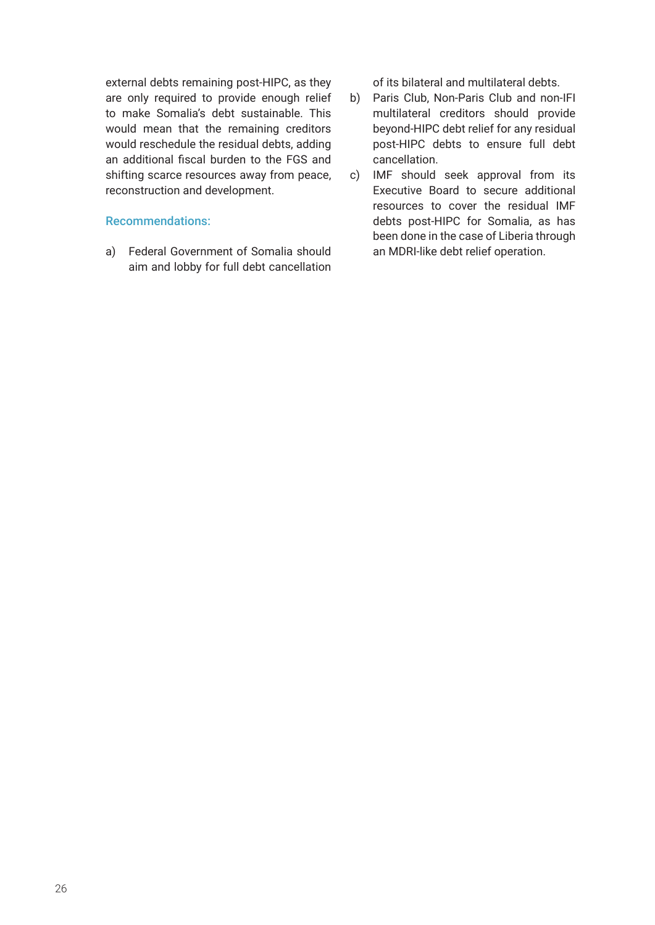external debts remaining post-HIPC, as they are only required to provide enough relief to make Somalia's debt sustainable. This would mean that the remaining creditors would reschedule the residual debts, adding an additional fiscal burden to the FGS and shifting scarce resources away from peace, reconstruction and development.

#### Recommendations:

a) Federal Government of Somalia should aim and lobby for full debt cancellation of its bilateral and multilateral debts.

- b) Paris Club, Non-Paris Club and non-IFI multilateral creditors should provide beyond-HIPC debt relief for any residual post-HIPC debts to ensure full debt cancellation.
- c) IMF should seek approval from its Executive Board to secure additional resources to cover the residual IMF debts post-HIPC for Somalia, as has been done in the case of Liberia through an MDRI-like debt relief operation.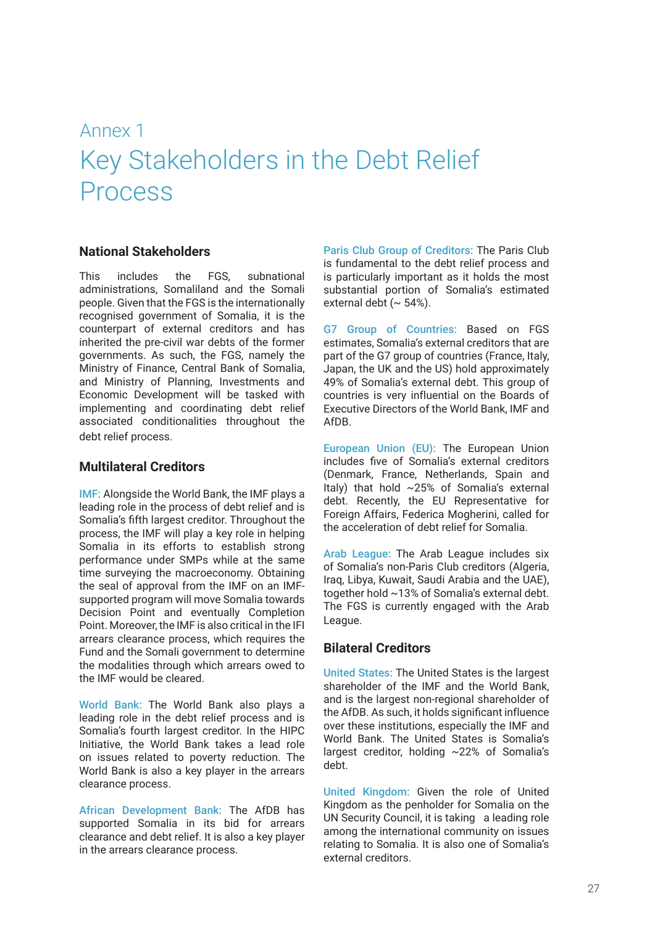### Annex 1 Key Stakeholders in the Debt Relief Process

#### **National Stakeholders**

This includes the FGS subnational administrations, Somaliland and the Somali people. Given that the FGS is the internationally recognised government of Somalia, it is the counterpart of external creditors and has inherited the pre-civil war debts of the former governments. As such, the FGS, namely the Ministry of Finance, Central Bank of Somalia, and Ministry of Planning, Investments and Economic Development will be tasked with implementing and coordinating debt relief associated conditionalities throughout the debt relief process.

#### **Multilateral Creditors**

IMF: Alongside the World Bank, the IMF plays a leading role in the process of debt relief and is Somalia's fifth largest creditor. Throughout the process, the IMF will play a key role in helping Somalia in its efforts to establish strong performance under SMPs while at the same time surveying the macroeconomy. Obtaining the seal of approval from the IMF on an IMFsupported program will move Somalia towards Decision Point and eventually Completion Point. Moreover, the IMF is also critical in the IFI arrears clearance process, which requires the Fund and the Somali government to determine the modalities through which arrears owed to the IMF would be cleared.

World Bank: The World Bank also plays a leading role in the debt relief process and is Somalia's fourth largest creditor. In the HIPC Initiative, the World Bank takes a lead role on issues related to poverty reduction. The World Bank is also a key player in the arrears clearance process.

African Development Bank: The AfDB has supported Somalia in its bid for arrears clearance and debt relief. It is also a key player in the arrears clearance process.

Paris Club Group of Creditors: The Paris Club is fundamental to the debt relief process and is particularly important as it holds the most substantial portion of Somalia's estimated external debt ( $\sim$  54%).

G7 Group of Countries: Based on FGS estimates, Somalia's external creditors that are part of the G7 group of countries (France, Italy, Japan, the UK and the US) hold approximately 49% of Somalia's external debt. This group of countries is very influential on the Boards of Executive Directors of the World Bank, IMF and AfDB.

European Union (EU): The European Union includes five of Somalia's external creditors (Denmark, France, Netherlands, Spain and Italy) that hold ~25% of Somalia's external debt. Recently, the EU Representative for Foreign Affairs, Federica Mogherini, called for the acceleration of debt relief for Somalia.

Arab League: The Arab League includes six of Somalia's non-Paris Club creditors (Algeria, Iraq, Libya, Kuwait, Saudi Arabia and the UAE), together hold ~13% of Somalia's external debt. The FGS is currently engaged with the Arab League.

#### **Bilateral Creditors**

United States: The United States is the largest shareholder of the IMF and the World Bank, and is the largest non-regional shareholder of the AfDB. As such, it holds significant influence over these institutions, especially the IMF and World Bank. The United States is Somalia's largest creditor, holding ~22% of Somalia's debt.

United Kingdom: Given the role of United Kingdom as the penholder for Somalia on the UN Security Council, it is taking a leading role among the international community on issues relating to Somalia. It is also one of Somalia's external creditors.